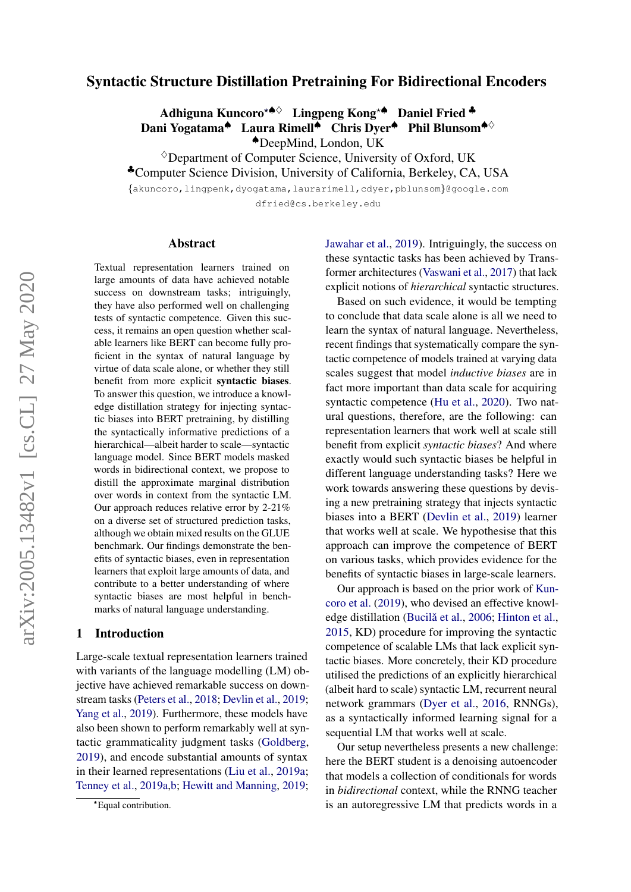# Syntactic Structure Distillation Pretraining For Bidirectional Encoders

Adhiguna Kuncoro<sup>∗</sub>⇔</sup> Lingpeng Kong<sup>\*▲</sup> Daniel Fried <sup>▲</sup> Dani Yogatama<sup>▲</sup> Laura Rimell<sup>▲</sup> Chris Dyer<sup>▲</sup> Phil Blunsom<sup>▲◇</sup>

♠DeepMind, London, UK

 $\Diamond$ Department of Computer Science, University of Oxford, UK

♣Computer Science Division, University of California, Berkeley, CA, USA

{akuncoro,lingpenk,dyogatama,laurarimell,cdyer,pblunsom}@google.com

dfried@cs.berkeley.edu

#### Abstract

Textual representation learners trained on large amounts of data have achieved notable success on downstream tasks; intriguingly, they have also performed well on challenging tests of syntactic competence. Given this success, it remains an open question whether scalable learners like BERT can become fully proficient in the syntax of natural language by virtue of data scale alone, or whether they still benefit from more explicit syntactic biases. To answer this question, we introduce a knowledge distillation strategy for injecting syntactic biases into BERT pretraining, by distilling the syntactically informative predictions of a hierarchical—albeit harder to scale—syntactic language model. Since BERT models masked words in bidirectional context, we propose to distill the approximate marginal distribution over words in context from the syntactic LM. Our approach reduces relative error by 2-21% on a diverse set of structured prediction tasks, although we obtain mixed results on the GLUE benchmark. Our findings demonstrate the benefits of syntactic biases, even in representation learners that exploit large amounts of data, and contribute to a better understanding of where syntactic biases are most helpful in benchmarks of natural language understanding.

#### 1 Introduction

Large-scale textual representation learners trained with variants of the language modelling (LM) objective have achieved remarkable success on downstream tasks [\(Peters et al.,](#page-11-0) [2018;](#page-11-0) [Devlin et al.,](#page-10-0) [2019;](#page-10-0) [Yang et al.,](#page-12-0) [2019\)](#page-12-0). Furthermore, these models have also been shown to perform remarkably well at syntactic grammaticality judgment tasks [\(Goldberg,](#page-10-1) [2019\)](#page-10-1), and encode substantial amounts of syntax in their learned representations [\(Liu et al.,](#page-11-1) [2019a;](#page-11-1) [Tenney et al.,](#page-12-1) [2019a](#page-12-1)[,b;](#page-12-2) [Hewitt and Manning,](#page-10-2) [2019;](#page-10-2) [Jawahar et al.,](#page-10-3) [2019\)](#page-10-3). Intriguingly, the success on these syntactic tasks has been achieved by Transformer architectures [\(Vaswani et al.,](#page-12-3) [2017\)](#page-12-3) that lack explicit notions of *hierarchical* syntactic structures.

Based on such evidence, it would be tempting to conclude that data scale alone is all we need to learn the syntax of natural language. Nevertheless, recent findings that systematically compare the syntactic competence of models trained at varying data scales suggest that model *inductive biases* are in fact more important than data scale for acquiring syntactic competence [\(Hu et al.,](#page-10-4) [2020\)](#page-10-4). Two natural questions, therefore, are the following: can representation learners that work well at scale still benefit from explicit *syntactic biases*? And where exactly would such syntactic biases be helpful in different language understanding tasks? Here we work towards answering these questions by devising a new pretraining strategy that injects syntactic biases into a BERT [\(Devlin et al.,](#page-10-0) [2019\)](#page-10-0) learner that works well at scale. We hypothesise that this approach can improve the competence of BERT on various tasks, which provides evidence for the benefits of syntactic biases in large-scale learners.

Our approach is based on the prior work of [Kun](#page-11-2)[coro et al.](#page-11-2) [\(2019\)](#page-11-2), who devised an effective knowl-edge distillation (Bucilă et al., [2006;](#page-10-5) [Hinton et al.,](#page-10-6) [2015,](#page-10-6) KD) procedure for improving the syntactic competence of scalable LMs that lack explicit syntactic biases. More concretely, their KD procedure utilised the predictions of an explicitly hierarchical (albeit hard to scale) syntactic LM, recurrent neural network grammars [\(Dyer et al.,](#page-10-7) [2016,](#page-10-7) RNNGs), as a syntactically informed learning signal for a sequential LM that works well at scale.

Our setup nevertheless presents a new challenge: here the BERT student is a denoising autoencoder that models a collection of conditionals for words in *bidirectional* context, while the RNNG teacher is an autoregressive LM that predicts words in a

<sup>∗</sup>?Equal contribution.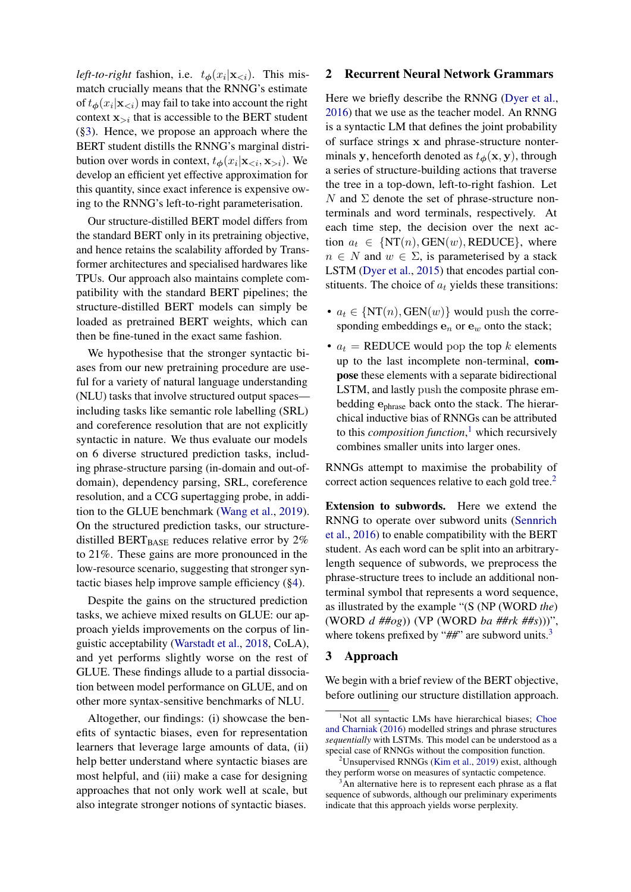*left-to-right* fashion, i.e.  $t_{\phi}(x_i|\mathbf{x}_{\leq i})$ . This mismatch crucially means that the RNNG's estimate of  $t_{\boldsymbol{\phi}}(x_i|\mathbf{x}_{< i})$  may fail to take into account the right context  $x_{\geq i}$  that is accessible to the BERT student ([§3\)](#page-1-0). Hence, we propose an approach where the BERT student distills the RNNG's marginal distribution over words in context,  $t_{\phi}(x_i|\mathbf{x}_{\le i}, \mathbf{x}_{>i})$ . We develop an efficient yet effective approximation for this quantity, since exact inference is expensive owing to the RNNG's left-to-right parameterisation.

Our structure-distilled BERT model differs from the standard BERT only in its pretraining objective, and hence retains the scalability afforded by Transformer architectures and specialised hardwares like TPUs. Our approach also maintains complete compatibility with the standard BERT pipelines; the structure-distilled BERT models can simply be loaded as pretrained BERT weights, which can then be fine-tuned in the exact same fashion.

We hypothesise that the stronger syntactic biases from our new pretraining procedure are useful for a variety of natural language understanding (NLU) tasks that involve structured output spaces including tasks like semantic role labelling (SRL) and coreference resolution that are not explicitly syntactic in nature. We thus evaluate our models on 6 diverse structured prediction tasks, including phrase-structure parsing (in-domain and out-ofdomain), dependency parsing, SRL, coreference resolution, and a CCG supertagging probe, in addition to the GLUE benchmark [\(Wang et al.,](#page-12-4) [2019\)](#page-12-4). On the structured prediction tasks, our structuredistilled BERT<sub>BASE</sub> reduces relative error by  $2\%$ to 21%. These gains are more pronounced in the low-resource scenario, suggesting that stronger syntactic biases help improve sample efficiency ([§4\)](#page-4-0).

Despite the gains on the structured prediction tasks, we achieve mixed results on GLUE: our approach yields improvements on the corpus of linguistic acceptability [\(Warstadt et al.,](#page-12-5) [2018,](#page-12-5) CoLA), and yet performs slightly worse on the rest of GLUE. These findings allude to a partial dissociation between model performance on GLUE, and on other more syntax-sensitive benchmarks of NLU.

Altogether, our findings: (i) showcase the benefits of syntactic biases, even for representation learners that leverage large amounts of data, (ii) help better understand where syntactic biases are most helpful, and (iii) make a case for designing approaches that not only work well at scale, but also integrate stronger notions of syntactic biases.

#### <span id="page-1-4"></span>2 Recurrent Neural Network Grammars

Here we briefly describe the RNNG [\(Dyer et al.,](#page-10-7) [2016\)](#page-10-7) that we use as the teacher model. An RNNG is a syntactic LM that defines the joint probability of surface strings x and phrase-structure nonterminals y, henceforth denoted as  $t_{\phi}(\mathbf{x}, \mathbf{y})$ , through a series of structure-building actions that traverse the tree in a top-down, left-to-right fashion. Let N and  $\Sigma$  denote the set of phrase-structure nonterminals and word terminals, respectively. At each time step, the decision over the next action  $a_t \in \{NT(n), GEN(w), REDUCE\}$ , where  $n \in N$  and  $w \in \Sigma$ , is parameterised by a stack LSTM [\(Dyer et al.,](#page-10-8) [2015\)](#page-10-8) that encodes partial constituents. The choice of  $a_t$  yields these transitions:

- $a_t \in \{NT(n), GEN(w)\}$  would push the corresponding embeddings  $e_n$  or  $e_w$  onto the stack;
- $a_t$  = REDUCE would pop the top k elements up to the last incomplete non-terminal, compose these elements with a separate bidirectional LSTM, and lastly push the composite phrase embedding ephrase back onto the stack. The hierarchical inductive bias of RNNGs can be attributed to this *composition function*, [1](#page-1-1) which recursively combines smaller units into larger ones.

RNNGs attempt to maximise the probability of correct action sequences relative to each gold tree.<sup>[2](#page-1-2)</sup>

Extension to subwords. Here we extend the RNNG to operate over subword units [\(Sennrich](#page-12-6) [et al.,](#page-12-6) [2016\)](#page-12-6) to enable compatibility with the BERT student. As each word can be split into an arbitrarylength sequence of subwords, we preprocess the phrase-structure trees to include an additional nonterminal symbol that represents a word sequence, as illustrated by the example "(S (NP (WORD *the*) (WORD *d ##og*)) (VP (WORD *ba ##rk ##s*)))", where tokens prefixed by "##" are subword units.<sup>[3](#page-1-3)</sup>

### <span id="page-1-0"></span>3 Approach

We begin with a brief review of the BERT objective, before outlining our structure distillation approach.

<span id="page-1-1"></span><sup>&</sup>lt;sup>1</sup>Not all syntactic LMs have hierarchical biases; [Choe](#page-10-9) [and Charniak](#page-10-9) [\(2016\)](#page-10-9) modelled strings and phrase structures *sequentially* with LSTMs. This model can be understood as a special case of RNNGs without the composition function.

<span id="page-1-2"></span> $2$ Unsupervised RNNGs [\(Kim et al.,](#page-10-10) [2019\)](#page-10-10) exist, although they perform worse on measures of syntactic competence.

<span id="page-1-3"></span>An alternative here is to represent each phrase as a flat sequence of subwords, although our preliminary experiments indicate that this approach yields worse perplexity.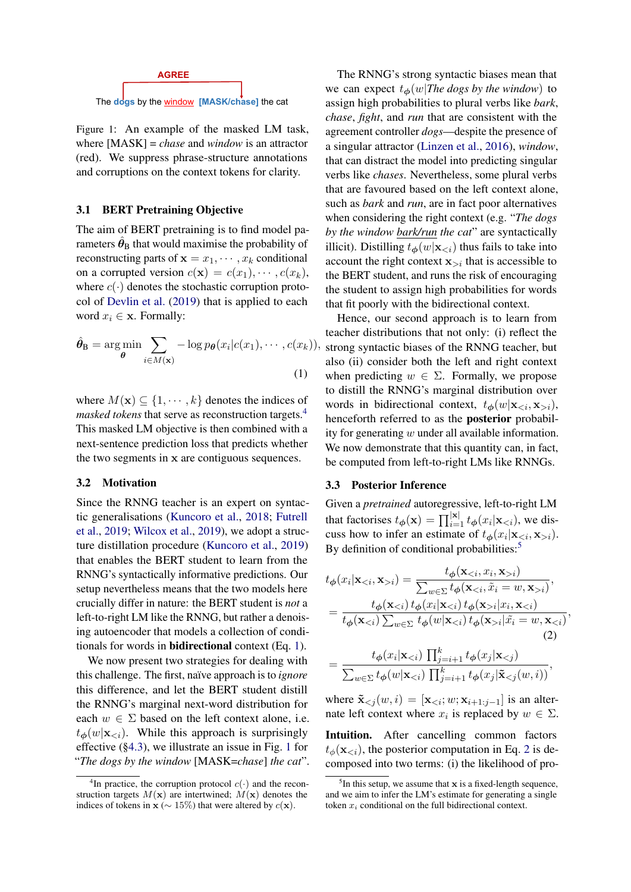<span id="page-2-2"></span>

Figure 1: An example of the masked LM task, where [MASK] = *chase* and *window* is an attractor (red). We suppress phrase-structure annotations and corruptions on the context tokens for clarity.

#### 3.1 BERT Pretraining Objective

The aim of BERT pretraining is to find model parameters  $\hat{\theta}_{\text{B}}$  that would maximise the probability of reconstructing parts of  $\mathbf{x} = x_1, \dots, x_k$  conditional on a corrupted version  $c(\mathbf{x}) = c(x_1), \cdots, c(x_k)$ , where  $c(\cdot)$  denotes the stochastic corruption protocol of [Devlin et al.](#page-10-0) [\(2019\)](#page-10-0) that is applied to each word  $x_i \in \mathbf{x}$ . Formally:

$$
\hat{\theta}_{\mathbf{B}} = \arg\min_{\theta} \sum_{i \in M(\mathbf{x})} -\log p_{\theta}(x_i|c(x_1), \cdots, c(x_k)),
$$
\n(1)

where  $M(\mathbf{x}) \subseteq \{1, \dots, k\}$  denotes the indices of *masked tokens* that serve as reconstruction targets.<sup>[4](#page-2-0)</sup> This masked LM objective is then combined with a next-sentence prediction loss that predicts whether the two segments in x are contiguous sequences.

### 3.2 Motivation

Since the RNNG teacher is an expert on syntactic generalisations [\(Kuncoro et al.,](#page-11-3) [2018;](#page-11-3) [Futrell](#page-10-11) [et al.,](#page-10-11) [2019;](#page-10-11) [Wilcox et al.,](#page-12-7) [2019\)](#page-12-7), we adopt a structure distillation procedure [\(Kuncoro et al.,](#page-11-2) [2019\)](#page-11-2) that enables the BERT student to learn from the RNNG's syntactically informative predictions. Our setup nevertheless means that the two models here crucially differ in nature: the BERT student is *not* a left-to-right LM like the RNNG, but rather a denoising autoencoder that models a collection of conditionals for words in bidirectional context (Eq. [1\)](#page-2-1).

We now present two strategies for dealing with this challenge. The first, na¨ıve approach is to *ignore* this difference, and let the BERT student distill the RNNG's marginal next-word distribution for each  $w \in \Sigma$  based on the left context alone, i.e.  $t_{\phi}(w|\mathbf{x}_{\leq i})$ . While this approach is surprisingly effective ([§4.3\)](#page-6-0), we illustrate an issue in Fig. [1](#page-2-2) for "*The dogs by the window* [MASK=*chase*] *the cat*".

The RNNG's strong syntactic biases mean that we can expect  $t_{\phi}(w)$ *The dogs by the window*) to assign high probabilities to plural verbs like *bark*, *chase*, *fight*, and *run* that are consistent with the agreement controller *dogs*—despite the presence of a singular attractor [\(Linzen et al.,](#page-11-4) [2016\)](#page-11-4), *window*, that can distract the model into predicting singular verbs like *chases*. Nevertheless, some plural verbs that are favoured based on the left context alone, such as *bark* and *run*, are in fact poor alternatives when considering the right context (e.g. "*The dogs by the window bark/run the cat*" are syntactically illicit). Distilling  $t_{\phi}(w|\mathbf{x}_{ thus fails to take into$ account the right context  $x_{\geq i}$  that is accessible to the BERT student, and runs the risk of encouraging the student to assign high probabilities for words that fit poorly with the bidirectional context.

<span id="page-2-1"></span>Hence, our second approach is to learn from teacher distributions that not only: (i) reflect the ), strong syntactic biases of the RNNG teacher, but also (ii) consider both the left and right context when predicting  $w \in \Sigma$ . Formally, we propose to distill the RNNG's marginal distribution over words in bidirectional context,  $t_{\phi}(w|\mathbf{x}_{\leq i}, \mathbf{x}_{>i}),$ henceforth referred to as the posterior probability for generating  $w$  under all available information. We now demonstrate that this quantity can, in fact, be computed from left-to-right LMs like RNNGs.

### <span id="page-2-5"></span>3.3 Posterior Inference

Given a *pretrained* autoregressive, left-to-right LM that factorises  $t_{\phi}(\mathbf{x}) = \prod_{i=1}^{|\mathbf{x}|} t_{\phi}(x_i | \mathbf{x}_{< i})$ , we discuss how to infer an estimate of  $t_{\phi}(x_i|\mathbf{x}_{\leq i}, \mathbf{x}_{>i}).$ By definition of conditional probabilities:<sup>[5](#page-2-3)</sup>

$$
t_{\phi}(x_i|\mathbf{x}_{i}) = \frac{t_{\phi}(\mathbf{x}_{i})}{\sum_{w\in\Sigma} t_{\phi}(\mathbf{x}_{i})},
$$
  
= 
$$
\frac{t_{\phi}(\mathbf{x}_{i}|x_i,\mathbf{x}_{i}| \tilde{x}_i=w,\mathbf{x}_{  
= 
$$
\frac{t_{\phi}(x_i|\mathbf{x}_{
$$
$$

<span id="page-2-4"></span>,

$$
= \frac{1}{\sum_{w \in \Sigma} t_{\boldsymbol{\phi}}(w|\mathbf{x}_{< i}) \prod_{j=i+1}^{k} t_{\boldsymbol{\phi}}(x_j|\mathbf{\tilde{x}}_{< j}(w, i))},
$$

where  $\mathbf{\tilde{x}}_{< j}(w, i) = [\mathbf{x}_{< i}; w; \mathbf{x}_{i+1:j-1}]$  is an alternate left context where  $x_i$  is replaced by  $w \in \Sigma$ .

Intuition. After cancelling common factors  $t_{\phi}(\mathbf{x}_{\leq i})$ , the posterior computation in Eq. [2](#page-2-4) is decomposed into two terms: (i) the likelihood of pro-

<span id="page-2-0"></span><sup>&</sup>lt;sup>4</sup>In practice, the corruption protocol  $c(\cdot)$  and the reconstruction targets  $M(\mathbf{x})$  are intertwined;  $M(\mathbf{x})$  denotes the indices of tokens in  $\mathbf{x}$  ( $\sim 15\%$ ) that were altered by  $c(\mathbf{x})$ .

<span id="page-2-3"></span> $<sup>5</sup>$  In this setup, we assume that  $x$  is a fixed-length sequence,</sup> and we aim to infer the LM's estimate for generating a single token  $x_i$  conditional on the full bidirectional context.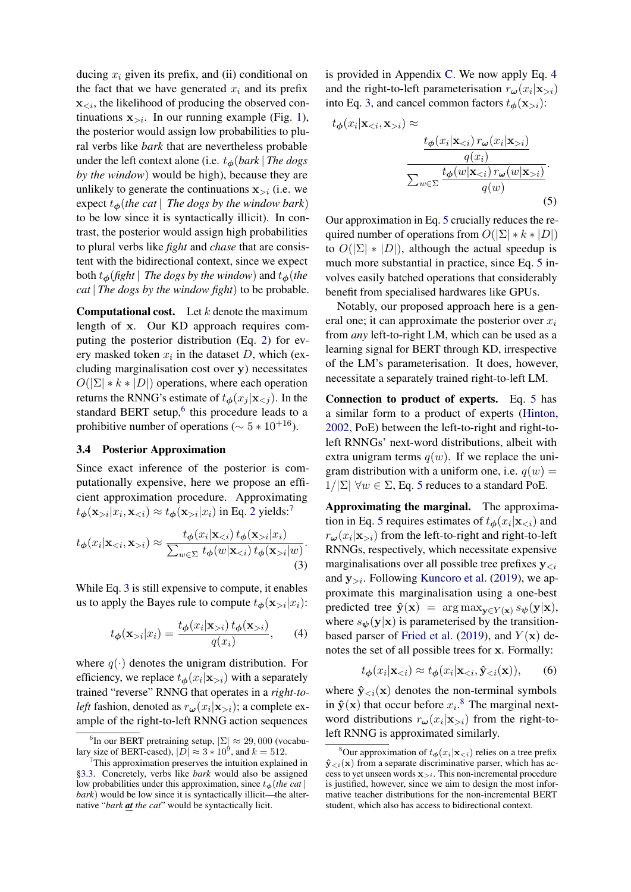ducing  $x_i$  given its prefix, and (ii) conditional on the fact that we have generated  $x_i$  and its prefix  $\mathbf{x}_{\leq i}$ , the likelihood of producing the observed continuations  $x_{i}$ . In our running example (Fig. [1\)](#page-2-2), the posterior would assign low probabilities to plural verbs like *bark* that are nevertheless probable under the left context alone (i.e.  $t_{\phi}$ (*bark* | *The dogs by the window*) would be high), because they are unlikely to generate the continuations  $x_{\geq i}$  (i.e. we expect  $t_{\phi}$ (*the cat* | *The dogs by the window bark*) to be low since it is syntactically illicit). In contrast, the posterior would assign high probabilities to plural verbs like *fight* and *chase* that are consistent with the bidirectional context, since we expect both  $t_{\phi}$ (*fight* | *The dogs by the window*) and  $t_{\phi}$ (*the cat* | *The dogs by the window fight*) to be probable.

**Computational cost.** Let  $k$  denote the maximum length of x. Our KD approach requires computing the posterior distribution (Eq. [2\)](#page-2-4) for every masked token  $x_i$  in the dataset D, which (excluding marginalisation cost over y) necessitates  $O(|\Sigma| * k * |D|)$  operations, where each operation returns the RNNG's estimate of  $t_{\phi}(x_j | \mathbf{x}_{\le j})$ . In the standard BERT setup, $6$  this procedure leads to a prohibitive number of operations ( $\sim 5 * 10^{+16}$ ).

# <span id="page-3-7"></span>3.4 Posterior Approximation

Since exact inference of the posterior is computationally expensive, here we propose an efficient approximation procedure. Approximating  $t_{\boldsymbol{\phi}}(\mathbf{x}_{>i}|x_i, \mathbf{x}_{i}|x_i)$  in Eq. [2](#page-2-4) yields:<sup>[7](#page-3-1)</sup>

$$
t_{\phi}(x_i|\mathbf{x}_{< i}, \mathbf{x}_{> i}) \approx \frac{t_{\phi}(x_i|\mathbf{x}_{< i}) t_{\phi}(\mathbf{x}_{> i}|x_i)}{\sum_{w \in \Sigma} t_{\phi}(w|\mathbf{x}_{< i}) t_{\phi}(\mathbf{x}_{> i}|w)}.
$$
\n(3)

While Eq. [3](#page-3-2) is still expensive to compute, it enables us to apply the Bayes rule to compute  $t_{\phi}(\mathbf{x}_{>i}|x_i)$ :

$$
t_{\phi}(\mathbf{x}_{>i}|x_i) = \frac{t_{\phi}(x_i|\mathbf{x}_{>i}) \, t_{\phi}(\mathbf{x}_{>i})}{q(x_i)},\qquad(4)
$$

where  $q(\cdot)$  denotes the unigram distribution. For efficiency, we replace  $t_{\phi}(x_i|\mathbf{x}_{>i})$  with a separately trained "reverse" RNNG that operates in a *right-toleft* fashion, denoted as  $r_{\boldsymbol{\omega}}(x_i|\mathbf{x}_{>i})$ ; a complete example of the right-to-left RNNG action sequences

is provided in Appendix [C.](#page-13-0) We now apply Eq. [4](#page-3-3) and the right-to-left parameterisation  $r_{\boldsymbol{\omega}}(x_i|\mathbf{x}_{>i})$ into Eq. [3,](#page-3-2) and cancel common factors  $t_{\phi}(\mathbf{x}_{>i})$ :

$$
t_{\phi}(x_i|\mathbf{x}_{i}) \approx \frac{t_{\phi}(x_i|\mathbf{x}_{i})}{\frac{q(x_i)}{\sum_{w \in \Sigma} \frac{t_{\phi}(w|\mathbf{x}_{i})}{q(w)}}}
$$
\n(5)

<span id="page-3-4"></span>Our approximation in Eq. [5](#page-3-4) crucially reduces the required number of operations from  $O(|\Sigma| * k * |D|)$ to  $O(|\Sigma| * |D|)$ , although the actual speedup is much more substantial in practice, since Eq. [5](#page-3-4) involves easily batched operations that considerably benefit from specialised hardwares like GPUs.

Notably, our proposed approach here is a general one; it can approximate the posterior over  $x_i$ from *any* left-to-right LM, which can be used as a learning signal for BERT through KD, irrespective of the LM's parameterisation. It does, however, necessitate a separately trained right-to-left LM.

Connection to product of experts. Eq. [5](#page-3-4) has a similar form to a product of experts [\(Hinton,](#page-10-12) [2002,](#page-10-12) PoE) between the left-to-right and right-toleft RNNGs' next-word distributions, albeit with extra unigram terms  $q(w)$ . If we replace the unigram distribution with a uniform one, i.e.  $q(w)$  =  $1/|\Sigma| \forall w \in \Sigma$ , Eq. [5](#page-3-4) reduces to a standard PoE.

<span id="page-3-2"></span>Approximating the marginal. The approxima-tion in Eq. [5](#page-3-4) requires estimates of  $t_{\phi}(x_i|\mathbf{x}_{\le i})$  and  $r_{\omega}(x_i|\mathbf{x}_{>i})$  from the left-to-right and right-to-left RNNGs, respectively, which necessitate expensive marginalisations over all possible tree prefixes  $y_{\leq i}$ and  $y_{\geq i}$ . Following [Kuncoro et al.](#page-11-2) [\(2019\)](#page-11-2), we approximate this marginalisation using a one-best predicted tree  $\hat{\mathbf{y}}(\mathbf{x}) = \arg \max_{\mathbf{y} \in Y(\mathbf{x})} s_{\psi}(\mathbf{y}|\mathbf{x}),$ where  $s_{\psi}(\mathbf{y}|\mathbf{x})$  is parameterised by the transition-based parser of [Fried et al.](#page-10-13) [\(2019\)](#page-10-13), and  $Y(\mathbf{x})$  denotes the set of all possible trees for x. Formally:

<span id="page-3-6"></span>
$$
t_{\boldsymbol{\phi}}(x_i|\mathbf{x}_{< i}) \approx t_{\boldsymbol{\phi}}(x_i|\mathbf{x}_{< i}, \hat{\mathbf{y}}_{< i}(\mathbf{x})), \qquad (6)
$$

<span id="page-3-3"></span>where  $\hat{\mathbf{y}}_{\leq i}(\mathbf{x})$  denotes the non-terminal symbols in  $\hat{\mathbf{y}}(\mathbf{x})$  that occur before  $x_i$ .<sup>[8](#page-3-5)</sup> The marginal nextword distributions  $r_{\boldsymbol{\omega}}(x_i|\mathbf{x}_{>i})$  from the right-toleft RNNG is approximated similarly.

<span id="page-3-0"></span><sup>&</sup>lt;sup>6</sup>In our BERT pretraining setup,  $|\Sigma| \approx 29,000$  (vocabulary size of BERT-cased),  $|\overrightarrow{D}| \approx 3 * 10^9$ , and  $k = 512$ .

<span id="page-3-1"></span> $7$ This approximation preserves the intuition explained in [§3.3.](#page-2-5) Concretely, verbs like *bark* would also be assigned low probabilities under this approximation, since  $t_{\phi}$  (*the cat* | *bark*) would be low since it is syntactically illicit—the alternative "*bark at the cat*" would be syntactically licit.

<span id="page-3-5"></span><sup>&</sup>lt;sup>8</sup>Our approximation of  $t_{\phi}(x_i|\mathbf{x}_{\leq i})$  relies on a tree prefix  $\mathbf{\hat{y}}_{< i}(\mathbf{x})$  from a separate discriminative parser, which has access to yet unseen words  $\mathbf{x}_{>i}$ . This non-incremental procedure is justified, however, since we aim to design the most informative teacher distributions for the non-incremental BERT student, which also has access to bidirectional context.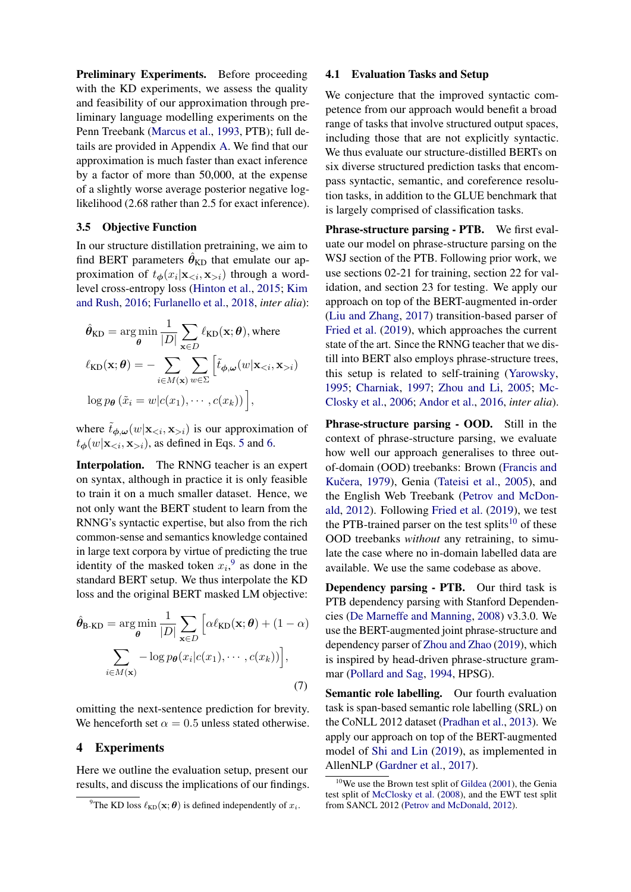Preliminary Experiments. Before proceeding with the KD experiments, we assess the quality and feasibility of our approximation through preliminary language modelling experiments on the Penn Treebank [\(Marcus et al.,](#page-11-5) [1993,](#page-11-5) PTB); full details are provided in Appendix [A.](#page-12-8) We find that our approximation is much faster than exact inference by a factor of more than 50,000, at the expense of a slightly worse average posterior negative loglikelihood (2.68 rather than 2.5 for exact inference).

### 3.5 Objective Function

In our structure distillation pretraining, we aim to find BERT parameters  $\hat{\theta}_{\text{KD}}$  that emulate our approximation of  $t_{\phi}(x_i|\mathbf{x}_{\leq i}, \mathbf{x}_{>i})$  through a wordlevel cross-entropy loss [\(Hinton et al.,](#page-10-6) [2015;](#page-10-6) [Kim](#page-10-14) [and Rush,](#page-10-14) [2016;](#page-10-14) [Furlanello et al.,](#page-10-15) [2018,](#page-10-15) *inter alia*):

$$
\hat{\theta}_{\text{KD}} = \arg\min_{\theta} \frac{1}{|D|} \sum_{\mathbf{x} \in D} \ell_{\text{KD}}(\mathbf{x}; \theta), \text{ where}
$$

$$
\ell_{\text{KD}}(\mathbf{x}; \theta) = - \sum_{i \in M(\mathbf{x})} \sum_{w \in \Sigma} \left[ \tilde{t}_{\phi, \omega}(w | \mathbf{x}_{< i}, \mathbf{x}_{> i}) \right]
$$

$$
\log p_{\theta} \left( \tilde{x}_i = w | c(x_1), \cdots, c(x_k) \right) \Big],
$$

where  $\tilde{t}_{\phi,\omega}(w|\mathbf{x}_{\leq i}, \mathbf{x}_{\geq i})$  is our approximation of  $t_{\phi}(w|\mathbf{x}_{\leq i}, \mathbf{x}_{\geq i})$ , as defined in Eqs. [5](#page-3-4) and [6.](#page-3-6)

Interpolation. The RNNG teacher is an expert on syntax, although in practice it is only feasible to train it on a much smaller dataset. Hence, we not only want the BERT student to learn from the RNNG's syntactic expertise, but also from the rich common-sense and semantics knowledge contained in large text corpora by virtue of predicting the true identity of the masked token  $x_i$ , as done in the standard BERT setup. We thus interpolate the KD loss and the original BERT masked LM objective:

$$
\hat{\theta}_{\text{B-KD}} = \arg\min_{\theta} \frac{1}{|D|} \sum_{\mathbf{x} \in D} \left[ \alpha \ell_{\text{KD}}(\mathbf{x}; \theta) + (1 - \alpha) \sum_{i \in M(\mathbf{x})} -\log p_{\theta}(x_i | c(x_1), \cdots, c(x_k)) \right],
$$
\n(7)

omitting the next-sentence prediction for brevity. We henceforth set  $\alpha = 0.5$  unless stated otherwise.

### <span id="page-4-0"></span>4 Experiments

Here we outline the evaluation setup, present our results, and discuss the implications of our findings.

### <span id="page-4-4"></span>4.1 Evaluation Tasks and Setup

We conjecture that the improved syntactic competence from our approach would benefit a broad range of tasks that involve structured output spaces, including those that are not explicitly syntactic. We thus evaluate our structure-distilled BERTs on six diverse structured prediction tasks that encompass syntactic, semantic, and coreference resolution tasks, in addition to the GLUE benchmark that is largely comprised of classification tasks.

Phrase-structure parsing - PTB. We first evaluate our model on phrase-structure parsing on the WSJ section of the PTB. Following prior work, we use sections 02-21 for training, section 22 for validation, and section 23 for testing. We apply our approach on top of the BERT-augmented in-order [\(Liu and Zhang,](#page-11-6) [2017\)](#page-11-6) transition-based parser of [Fried et al.](#page-10-13) [\(2019\)](#page-10-13), which approaches the current state of the art. Since the RNNG teacher that we distill into BERT also employs phrase-structure trees, this setup is related to self-training [\(Yarowsky,](#page-12-9) [1995;](#page-12-9) [Charniak,](#page-10-16) [1997;](#page-10-16) [Zhou and Li,](#page-12-10) [2005;](#page-12-10) [Mc-](#page-11-7)[Closky et al.,](#page-11-7) [2006;](#page-11-7) [Andor et al.,](#page-10-17) [2016,](#page-10-17) *inter alia*).

Phrase-structure parsing - OOD. Still in the context of phrase-structure parsing, we evaluate how well our approach generalises to three outof-domain (OOD) treebanks: Brown [\(Francis and](#page-10-18) Kučera, [1979\)](#page-10-18), Genia [\(Tateisi et al.,](#page-12-11) [2005\)](#page-12-11), and the English Web Treebank [\(Petrov and McDon](#page-11-8)[ald,](#page-11-8) [2012\)](#page-11-8). Following [Fried et al.](#page-10-13) [\(2019\)](#page-10-13), we test the PTB-trained parser on the test splits<sup>[10](#page-4-2)</sup> of these OOD treebanks *without* any retraining, to simulate the case where no in-domain labelled data are available. We use the same codebase as above.

Dependency parsing - PTB. Our third task is PTB dependency parsing with Stanford Dependencies [\(De Marneffe and Manning,](#page-10-19) [2008\)](#page-10-19) v3.3.0. We use the BERT-augmented joint phrase-structure and dependency parser of [Zhou and Zhao](#page-12-12) [\(2019\)](#page-12-12), which is inspired by head-driven phrase-structure grammar [\(Pollard and Sag,](#page-11-9) [1994,](#page-11-9) HPSG).

<span id="page-4-3"></span>Semantic role labelling. Our fourth evaluation task is span-based semantic role labelling (SRL) on the CoNLL 2012 dataset [\(Pradhan et al.,](#page-11-10) [2013\)](#page-11-10). We apply our approach on top of the BERT-augmented model of [Shi and Lin](#page-12-13) [\(2019\)](#page-12-13), as implemented in AllenNLP [\(Gardner et al.,](#page-10-20) [2017\)](#page-10-20).

<span id="page-4-1"></span><sup>&</sup>lt;sup>9</sup>The KD loss  $\ell_{KD}(\mathbf{x}; \boldsymbol{\theta})$  is defined independently of  $x_i$ .

<span id="page-4-2"></span> $10$ We use the Brown test split of [Gildea](#page-10-21) [\(2001\)](#page-10-21), the Genia test split of [McClosky et al.](#page-11-11) [\(2008\)](#page-11-11), and the EWT test split from SANCL 2012 [\(Petrov and McDonald,](#page-11-8) [2012\)](#page-11-8).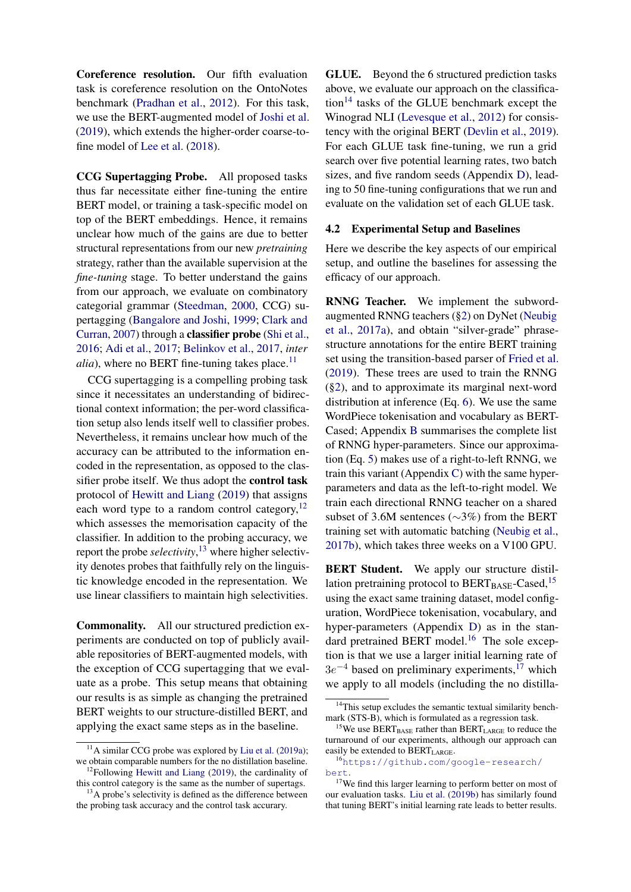Coreference resolution. Our fifth evaluation task is coreference resolution on the OntoNotes benchmark [\(Pradhan et al.,](#page-11-12) [2012\)](#page-11-12). For this task, we use the BERT-augmented model of [Joshi et al.](#page-10-22) [\(2019\)](#page-10-22), which extends the higher-order coarse-tofine model of [Lee et al.](#page-11-13) [\(2018\)](#page-11-13).

CCG Supertagging Probe. All proposed tasks thus far necessitate either fine-tuning the entire BERT model, or training a task-specific model on top of the BERT embeddings. Hence, it remains unclear how much of the gains are due to better structural representations from our new *pretraining* strategy, rather than the available supervision at the *fine-tuning* stage. To better understand the gains from our approach, we evaluate on combinatory categorial grammar [\(Steedman,](#page-12-14) [2000,](#page-12-14) CCG) supertagging [\(Bangalore and Joshi,](#page-10-23) [1999;](#page-10-23) [Clark and](#page-10-24) [Curran,](#page-10-24) [2007\)](#page-10-24) through a classifier probe [\(Shi et al.,](#page-12-15) [2016;](#page-12-15) [Adi et al.,](#page-10-25) [2017;](#page-10-25) [Belinkov et al.,](#page-10-26) [2017,](#page-10-26) *inter*  $alia$ ), where no BERT fine-tuning takes place.<sup>[11](#page-5-0)</sup>

CCG supertagging is a compelling probing task since it necessitates an understanding of bidirectional context information; the per-word classification setup also lends itself well to classifier probes. Nevertheless, it remains unclear how much of the accuracy can be attributed to the information encoded in the representation, as opposed to the classifier probe itself. We thus adopt the control task protocol of [Hewitt and Liang](#page-10-27) [\(2019\)](#page-10-27) that assigns each word type to a random control category, $^{12}$  $^{12}$  $^{12}$ which assesses the memorisation capacity of the classifier. In addition to the probing accuracy, we report the probe *selectivity*, [13](#page-5-2) where higher selectivity denotes probes that faithfully rely on the linguistic knowledge encoded in the representation. We use linear classifiers to maintain high selectivities.

Commonality. All our structured prediction experiments are conducted on top of publicly available repositories of BERT-augmented models, with the exception of CCG supertagging that we evaluate as a probe. This setup means that obtaining our results is as simple as changing the pretrained BERT weights to our structure-distilled BERT, and applying the exact same steps as in the baseline.

GLUE. Beyond the 6 structured prediction tasks above, we evaluate our approach on the classifica- $\text{tion}^{14}$  $\text{tion}^{14}$  $\text{tion}^{14}$  tasks of the GLUE benchmark except the Winograd NLI [\(Levesque et al.,](#page-11-14) [2012\)](#page-11-14) for consistency with the original BERT [\(Devlin et al.,](#page-10-0) [2019\)](#page-10-0). For each GLUE task fine-tuning, we run a grid search over five potential learning rates, two batch sizes, and five random seeds (Appendix [D\)](#page-14-0), leading to 50 fine-tuning configurations that we run and evaluate on the validation set of each GLUE task.

### <span id="page-5-7"></span>4.2 Experimental Setup and Baselines

Here we describe the key aspects of our empirical setup, and outline the baselines for assessing the efficacy of our approach.

RNNG Teacher. We implement the subwordaugmented RNNG teachers ([§2\)](#page-1-4) on DyNet [\(Neubig](#page-11-15) [et al.,](#page-11-15) [2017a\)](#page-11-15), and obtain "silver-grade" phrasestructure annotations for the entire BERT training set using the transition-based parser of [Fried et al.](#page-10-13) [\(2019\)](#page-10-13). These trees are used to train the RNNG ([§2\)](#page-1-4), and to approximate its marginal next-word distribution at inference (Eq. [6\)](#page-3-6). We use the same WordPiece tokenisation and vocabulary as BERT-Cased; Appendix [B](#page-13-1) summarises the complete list of RNNG hyper-parameters. Since our approximation (Eq. [5\)](#page-3-4) makes use of a right-to-left RNNG, we train this variant (Appendix [C\)](#page-13-0) with the same hyperparameters and data as the left-to-right model. We train each directional RNNG teacher on a shared subset of 3.6M sentences (∼3%) from the BERT training set with automatic batching [\(Neubig et al.,](#page-11-16) [2017b\)](#page-11-16), which takes three weeks on a V100 GPU.

BERT Student. We apply our structure distillation pretraining protocol to  $BERT_{BASE}$ -Cased,<sup>[15](#page-5-4)</sup> using the exact same training dataset, model configuration, WordPiece tokenisation, vocabulary, and hyper-parameters (Appendix [D\)](#page-14-0) as in the stan-dard pretrained BERT model.<sup>[16](#page-5-5)</sup> The sole exception is that we use a larger initial learning rate of  $3e^{-4}$  based on preliminary experiments,<sup>[17](#page-5-6)</sup> which we apply to all models (including the no distilla-

<span id="page-5-0"></span><sup>&</sup>lt;sup>11</sup>A similar CCG probe was explored by [Liu et al.](#page-11-1) [\(2019a\)](#page-11-1); we obtain comparable numbers for the no distillation baseline.  $12$ Following [Hewitt and Liang](#page-10-27) [\(2019\)](#page-10-27), the cardinality of

<span id="page-5-2"></span><span id="page-5-1"></span>this control category is the same as the number of supertags. <sup>13</sup>A probe's selectivity is defined as the difference between

the probing task accuracy and the control task accurary.

<span id="page-5-3"></span><sup>&</sup>lt;sup>14</sup>This setup excludes the semantic textual similarity benchmark (STS-B), which is formulated as a regression task.

<span id="page-5-4"></span> $15$ We use BERT<sub>BASE</sub> rather than BERT<sub>LARGE</sub> to reduce the turnaround of our experiments, although our approach can easily be extended to BERTLARGE.

<span id="page-5-5"></span><sup>16</sup>[https://github.com/google-research/](https://github.com/google-research/bert) [bert](https://github.com/google-research/bert).

<span id="page-5-6"></span><sup>&</sup>lt;sup>17</sup>We find this larger learning to perform better on most of our evaluation tasks. [Liu et al.](#page-11-17) [\(2019b\)](#page-11-17) has similarly found that tuning BERT's initial learning rate leads to better results.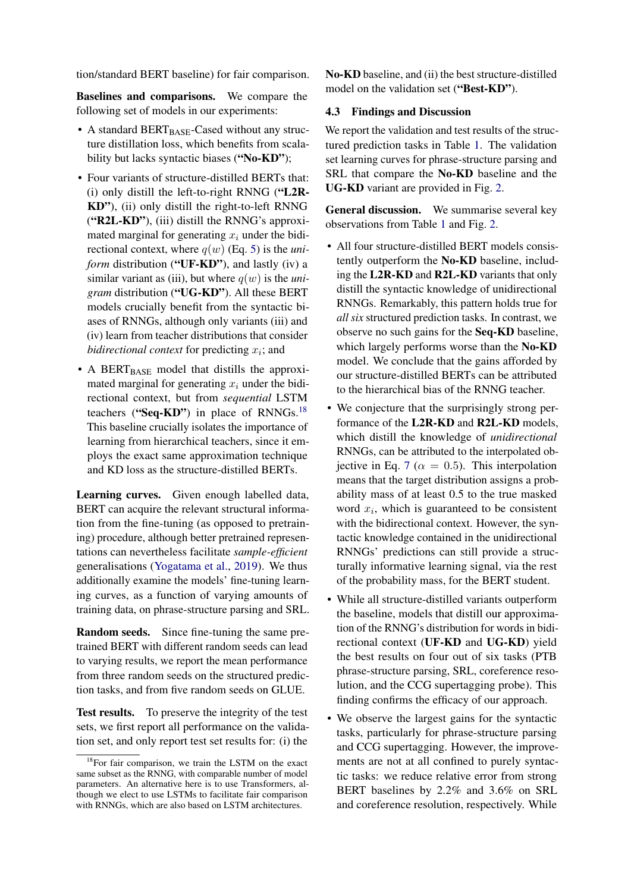tion/standard BERT baseline) for fair comparison.

Baselines and comparisons. We compare the following set of models in our experiments:

- A standard BERT $_{\text{BASE}}$ -Cased without any structure distillation loss, which benefits from scalability but lacks syntactic biases ("No-KD");
- Four variants of structure-distilled BERTs that: (i) only distill the left-to-right RNNG ("L2R-KD"), (ii) only distill the right-to-left RNNG ("R2L-KD"), (iii) distill the RNNG's approximated marginal for generating  $x_i$  under the bidirectional context, where  $q(w)$  (Eq. [5\)](#page-3-4) is the *uniform* distribution ("UF-KD"), and lastly (iv) a similar variant as (iii), but where  $q(w)$  is the *unigram* distribution ("UG-KD"). All these BERT models crucially benefit from the syntactic biases of RNNGs, although only variants (iii) and (iv) learn from teacher distributions that consider  $bidiirectional context$  for predicting  $x_i$ ; and
- A BERT $_{BASE}$  model that distills the approximated marginal for generating  $x_i$  under the bidirectional context, but from *sequential* LSTM teachers ("Seq-KD") in place of  $RNNGs$ <sup>[18](#page-6-1)</sup> This baseline crucially isolates the importance of learning from hierarchical teachers, since it employs the exact same approximation technique and KD loss as the structure-distilled BERTs.

Learning curves. Given enough labelled data, BERT can acquire the relevant structural information from the fine-tuning (as opposed to pretraining) procedure, although better pretrained representations can nevertheless facilitate *sample-efficient* generalisations [\(Yogatama et al.,](#page-12-16) [2019\)](#page-12-16). We thus additionally examine the models' fine-tuning learning curves, as a function of varying amounts of training data, on phrase-structure parsing and SRL.

Random seeds. Since fine-tuning the same pretrained BERT with different random seeds can lead to varying results, we report the mean performance from three random seeds on the structured prediction tasks, and from five random seeds on GLUE.

Test results. To preserve the integrity of the test sets, we first report all performance on the validation set, and only report test set results for: (i) the

No-KD baseline, and (ii) the best structure-distilled model on the validation set ("Best-KD").

### <span id="page-6-0"></span>4.3 Findings and Discussion

We report the validation and test results of the structured prediction tasks in Table [1.](#page-7-0) The validation set learning curves for phrase-structure parsing and SRL that compare the No-KD baseline and the UG-KD variant are provided in Fig. [2.](#page-7-1)

General discussion. We summarise several key observations from Table [1](#page-7-0) and Fig. [2.](#page-7-1)

- All four structure-distilled BERT models consistently outperform the No-KD baseline, including the L2R-KD and R2L-KD variants that only distill the syntactic knowledge of unidirectional RNNGs. Remarkably, this pattern holds true for *all six* structured prediction tasks. In contrast, we observe no such gains for the Seq-KD baseline, which largely performs worse than the No-KD model. We conclude that the gains afforded by our structure-distilled BERTs can be attributed to the hierarchical bias of the RNNG teacher.
- We conjecture that the surprisingly strong performance of the L2R-KD and R2L-KD models, which distill the knowledge of *unidirectional* RNNGs, can be attributed to the interpolated ob-jective in Eq. [7](#page-4-3) ( $\alpha = 0.5$ ). This interpolation means that the target distribution assigns a probability mass of at least 0.5 to the true masked word  $x_i$ , which is guaranteed to be consistent with the bidirectional context. However, the syntactic knowledge contained in the unidirectional RNNGs' predictions can still provide a structurally informative learning signal, via the rest of the probability mass, for the BERT student.
- While all structure-distilled variants outperform the baseline, models that distill our approximation of the RNNG's distribution for words in bidirectional context (UF-KD and UG-KD) yield the best results on four out of six tasks (PTB phrase-structure parsing, SRL, coreference resolution, and the CCG supertagging probe). This finding confirms the efficacy of our approach.
- We observe the largest gains for the syntactic tasks, particularly for phrase-structure parsing and CCG supertagging. However, the improvements are not at all confined to purely syntactic tasks: we reduce relative error from strong BERT baselines by 2.2% and 3.6% on SRL and coreference resolution, respectively. While

<span id="page-6-1"></span><sup>&</sup>lt;sup>18</sup>For fair comparison, we train the LSTM on the exact same subset as the RNNG, with comparable number of model parameters. An alternative here is to use Transformers, although we elect to use LSTMs to facilitate fair comparison with RNNGs, which are also based on LSTM architectures.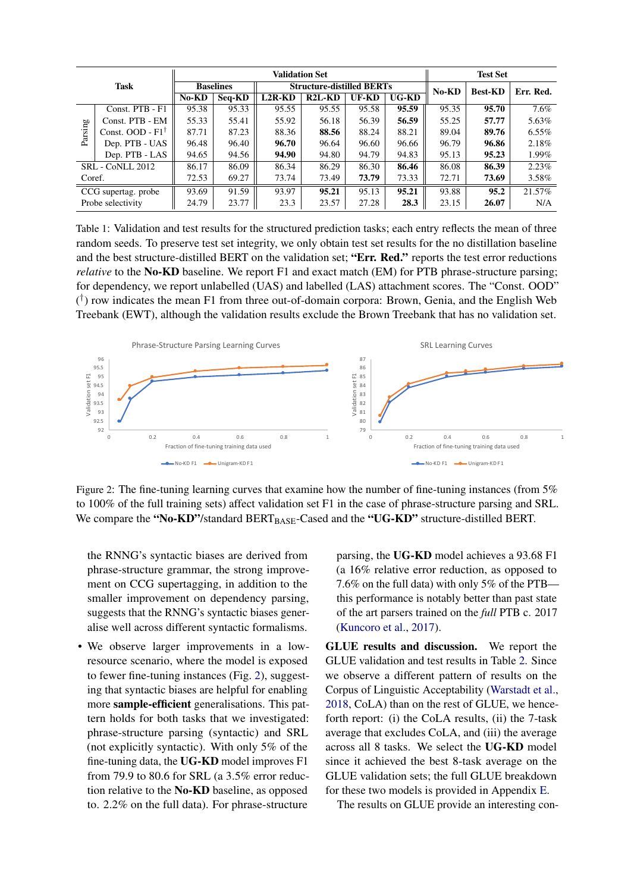<span id="page-7-0"></span>

|                     |                             | <b>Validation Set</b> |                  |                                  |                                 |       | <b>Test Set</b> |       |                |           |
|---------------------|-----------------------------|-----------------------|------------------|----------------------------------|---------------------------------|-------|-----------------|-------|----------------|-----------|
| <b>Task</b>         |                             |                       | <b>Baselines</b> | <b>Structure-distilled BERTs</b> |                                 |       |                 | No-KD | <b>Best-KD</b> | Err. Red. |
|                     |                             | No-KD                 | Seq-KD           | $L2R-KD$                         | R <sub>2</sub> L-K <sub>D</sub> | UF-KD | <b>UG-KD</b>    |       |                |           |
| Parsing             | Const. PTB - F1             | 95.38                 | 95.33            | 95.55                            | 95.55                           | 95.58 | 95.59           | 95.35 | 95.70          | 7.6%      |
|                     | Const. PTB - EM             | 55.33                 | 55.41            | 55.92                            | 56.18                           | 56.39 | 56.59           | 55.25 | 57.77          | 5.63%     |
|                     | Const. OOD - $F1^{\dagger}$ | 87.71                 | 87.23            | 88.36                            | 88.56                           | 88.24 | 88.21           | 89.04 | 89.76          | $6.55\%$  |
|                     | Dep. PTB - UAS              | 96.48                 | 96.40            | 96.70                            | 96.64                           | 96.60 | 96.66           | 96.79 | 96.86          | 2.18%     |
|                     | Dep. PTB - LAS              | 94.65                 | 94.56            | 94.90                            | 94.80                           | 94.79 | 94.83           | 95.13 | 95.23          | 1.99%     |
| SRL - CoNLL 2012    |                             | 86.17                 | 86.09            | 86.34                            | 86.29                           | 86.30 | 86.46           | 86.08 | 86.39          | 2.23%     |
| Coref.              |                             | 72.53                 | 69.27            | 73.74                            | 73.49                           | 73.79 | 73.33           | 72.71 | 73.69          | 3.58%     |
| CCG supertag. probe |                             | 93.69                 | 91.59            | 93.97                            | 95.21                           | 95.13 | 95.21           | 93.88 | 95.2           | 21.57%    |
| Probe selectivity   |                             | 24.79                 | 23.77            | 23.3                             | 23.57                           | 27.28 | 28.3            | 23.15 | 26.07          | N/A       |

Table 1: Validation and test results for the structured prediction tasks; each entry reflects the mean of three random seeds. To preserve test set integrity, we only obtain test set results for the no distillation baseline and the best structure-distilled BERT on the validation set; "Err. Red." reports the test error reductions *relative* to the No-KD baseline. We report F1 and exact match (EM) for PTB phrase-structure parsing; for dependency, we report unlabelled (UAS) and labelled (LAS) attachment scores. The "Const. OOD" ( † ) row indicates the mean F1 from three out-of-domain corpora: Brown, Genia, and the English Web Treebank (EWT), although the validation results exclude the Brown Treebank that has no validation set.

<span id="page-7-1"></span>

Figure 2: The fine-tuning learning curves that examine how the number of fine-tuning instances (from 5%) to 100% of the full training sets) affect validation set F1 in the case of phrase-structure parsing and SRL. We compare the "No-KD"/standard BERT<sub>BASE</sub>-Cased and the "UG-KD" structure-distilled BERT.

the RNNG's syntactic biases are derived from phrase-structure grammar, the strong improvement on CCG supertagging, in addition to the smaller improvement on dependency parsing, suggests that the RNNG's syntactic biases generalise well across different syntactic formalisms.

• We observe larger improvements in a lowresource scenario, where the model is exposed to fewer fine-tuning instances (Fig. [2\)](#page-7-1), suggesting that syntactic biases are helpful for enabling more sample-efficient generalisations. This pattern holds for both tasks that we investigated: phrase-structure parsing (syntactic) and SRL (not explicitly syntactic). With only 5% of the fine-tuning data, the UG-KD model improves F1 from 79.9 to 80.6 for SRL (a 3.5% error reduction relative to the No-KD baseline, as opposed to. 2.2% on the full data). For phrase-structure parsing, the UG-KD model achieves a 93.68 F1 (a 16% relative error reduction, as opposed to 7.6% on the full data) with only 5% of the PTB this performance is notably better than past state of the art parsers trained on the *full* PTB c. 2017 [\(Kuncoro et al.,](#page-11-18) [2017\)](#page-11-18).

GLUE results and discussion. We report the GLUE validation and test results in Table [2.](#page-8-0) Since we observe a different pattern of results on the Corpus of Linguistic Acceptability [\(Warstadt et al.,](#page-12-5) [2018,](#page-12-5) CoLA) than on the rest of GLUE, we henceforth report: (i) the CoLA results, (ii) the 7-task average that excludes CoLA, and (iii) the average across all 8 tasks. We select the UG-KD model since it achieved the best 8-task average on the GLUE validation sets; the full GLUE breakdown for these two models is provided in Appendix [E.](#page-15-0)

The results on GLUE provide an interesting con-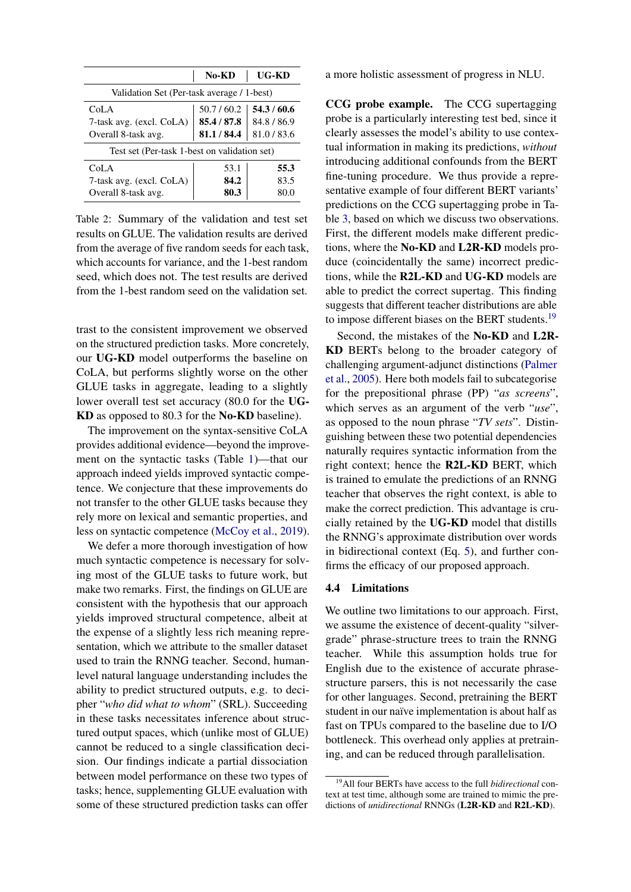<span id="page-8-0"></span>

|                                              | No-KD       | UG-KD     |  |  |  |  |
|----------------------------------------------|-------------|-----------|--|--|--|--|
| Validation Set (Per-task average / 1-best)   |             |           |  |  |  |  |
| CoLA                                         | 50.7/60.2   | 54.3/60.6 |  |  |  |  |
| 7-task avg. (excl. CoLA)                     | 85.4 / 87.8 | 84.8/86.9 |  |  |  |  |
| Overall 8-task avg.                          | 81.1 / 84.4 | 81.0/83.6 |  |  |  |  |
| Test set (Per-task 1-best on validation set) |             |           |  |  |  |  |
| CoLA                                         | 53.1        | 55.3      |  |  |  |  |
| 7-task avg. (excl. CoLA)                     | 84.2        | 83.5      |  |  |  |  |
| Overall 8-task avg.                          | 80.3        | 80.0      |  |  |  |  |

Table 2: Summary of the validation and test set results on GLUE. The validation results are derived from the average of five random seeds for each task, which accounts for variance, and the 1-best random seed, which does not. The test results are derived from the 1-best random seed on the validation set.

trast to the consistent improvement we observed on the structured prediction tasks. More concretely, our UG-KD model outperforms the baseline on CoLA, but performs slightly worse on the other GLUE tasks in aggregate, leading to a slightly lower overall test set accuracy (80.0 for the UG-KD as opposed to 80.3 for the No-KD baseline).

The improvement on the syntax-sensitive CoLA provides additional evidence—beyond the improvement on the syntactic tasks (Table [1\)](#page-7-0)—that our approach indeed yields improved syntactic competence. We conjecture that these improvements do not transfer to the other GLUE tasks because they rely more on lexical and semantic properties, and less on syntactic competence [\(McCoy et al.,](#page-11-19) [2019\)](#page-11-19).

We defer a more thorough investigation of how much syntactic competence is necessary for solving most of the GLUE tasks to future work, but make two remarks. First, the findings on GLUE are consistent with the hypothesis that our approach yields improved structural competence, albeit at the expense of a slightly less rich meaning representation, which we attribute to the smaller dataset used to train the RNNG teacher. Second, humanlevel natural language understanding includes the ability to predict structured outputs, e.g. to decipher "*who did what to whom*" (SRL). Succeeding in these tasks necessitates inference about structured output spaces, which (unlike most of GLUE) cannot be reduced to a single classification decision. Our findings indicate a partial dissociation between model performance on these two types of tasks; hence, supplementing GLUE evaluation with some of these structured prediction tasks can offer a more holistic assessment of progress in NLU.

CCG probe example. The CCG supertagging probe is a particularly interesting test bed, since it clearly assesses the model's ability to use contextual information in making its predictions, *without* introducing additional confounds from the BERT fine-tuning procedure. We thus provide a representative example of four different BERT variants' predictions on the CCG supertagging probe in Table [3,](#page-9-0) based on which we discuss two observations. First, the different models make different predictions, where the No-KD and L2R-KD models produce (coincidentally the same) incorrect predictions, while the R2L-KD and UG-KD models are able to predict the correct supertag. This finding suggests that different teacher distributions are able to impose different biases on the BERT students.<sup>[19](#page-8-1)</sup>

Second, the mistakes of the No-KD and L2R-KD BERTs belong to the broader category of challenging argument-adjunct distinctions [\(Palmer](#page-11-20) [et al.,](#page-11-20) [2005\)](#page-11-20). Here both models fail to subcategorise for the prepositional phrase (PP) "*as screens*", which serves as an argument of the verb "*use*", as opposed to the noun phrase "*TV sets*". Distinguishing between these two potential dependencies naturally requires syntactic information from the right context; hence the R2L-KD BERT, which is trained to emulate the predictions of an RNNG teacher that observes the right context, is able to make the correct prediction. This advantage is crucially retained by the UG-KD model that distills the RNNG's approximate distribution over words in bidirectional context (Eq. [5\)](#page-3-4), and further confirms the efficacy of our proposed approach.

### 4.4 Limitations

We outline two limitations to our approach. First, we assume the existence of decent-quality "silvergrade" phrase-structure trees to train the RNNG teacher. While this assumption holds true for English due to the existence of accurate phrasestructure parsers, this is not necessarily the case for other languages. Second, pretraining the BERT student in our naïve implementation is about half as fast on TPUs compared to the baseline due to I/O bottleneck. This overhead only applies at pretraining, and can be reduced through parallelisation.

<span id="page-8-1"></span><sup>19</sup>All four BERTs have access to the full *bidirectional* context at test time, although some are trained to mimic the predictions of *unidirectional* RNNGs (L2R-KD and R2L-KD).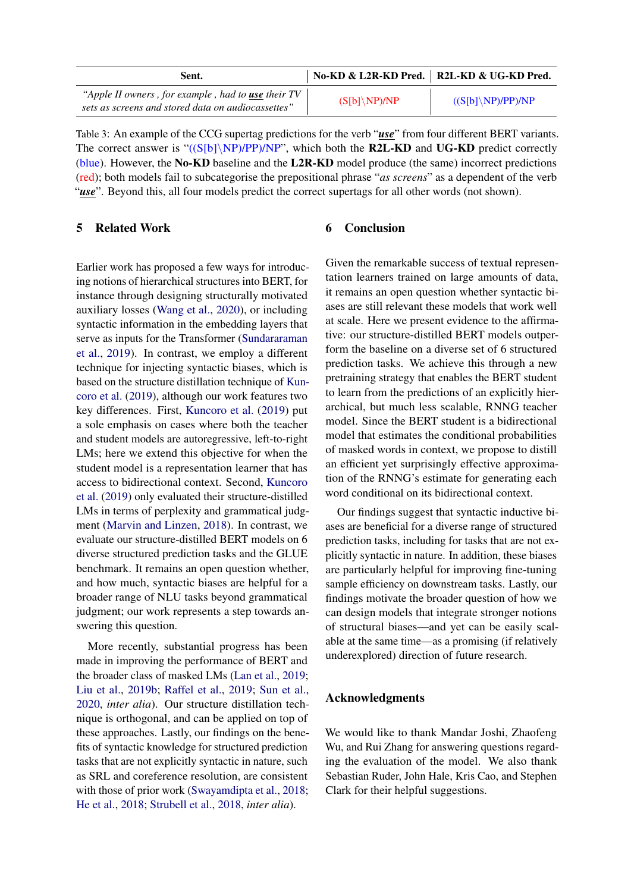<span id="page-9-0"></span>

| Sent.                                                                                                    |                | No-KD & L2R-KD Pred.   R2L-KD & UG-KD Pred. |
|----------------------------------------------------------------------------------------------------------|----------------|---------------------------------------------|
| "Apple II owners, for example, had to use their TV<br>sets as screens and stored data on audiocassettes" | $(S[b]\NP)/NP$ | $((S[b]\backslash NP)/PP)/NP$               |

Table 3: An example of the CCG supertag predictions for the verb "*use*" from four different BERT variants. The correct answer is " $((S[b]\nN\text{P})/(\text{NP})')/(\text{NP})$ ", which both the **R2L-KD** and **UG-KD** predict correctly (blue). However, the No-KD baseline and the L2R-KD model produce (the same) incorrect predictions (red); both models fail to subcategorise the prepositional phrase "*as screens*" as a dependent of the verb "*use*". Beyond this, all four models predict the correct supertags for all other words (not shown).

# 5 Related Work

Earlier work has proposed a few ways for introducing notions of hierarchical structures into BERT, for instance through designing structurally motivated auxiliary losses [\(Wang et al.,](#page-12-17) [2020\)](#page-12-17), or including syntactic information in the embedding layers that serve as inputs for the Transformer [\(Sundararaman](#page-12-18) [et al.,](#page-12-18) [2019\)](#page-12-18). In contrast, we employ a different technique for injecting syntactic biases, which is based on the structure distillation technique of [Kun](#page-11-2)[coro et al.](#page-11-2) [\(2019\)](#page-11-2), although our work features two key differences. First, [Kuncoro et al.](#page-11-2) [\(2019\)](#page-11-2) put a sole emphasis on cases where both the teacher and student models are autoregressive, left-to-right LMs; here we extend this objective for when the student model is a representation learner that has access to bidirectional context. Second, [Kuncoro](#page-11-2) [et al.](#page-11-2) [\(2019\)](#page-11-2) only evaluated their structure-distilled LMs in terms of perplexity and grammatical judgment [\(Marvin and Linzen,](#page-11-21) [2018\)](#page-11-21). In contrast, we evaluate our structure-distilled BERT models on 6 diverse structured prediction tasks and the GLUE benchmark. It remains an open question whether, and how much, syntactic biases are helpful for a broader range of NLU tasks beyond grammatical judgment; our work represents a step towards answering this question.

More recently, substantial progress has been made in improving the performance of BERT and the broader class of masked LMs [\(Lan et al.,](#page-11-22) [2019;](#page-11-22) [Liu et al.,](#page-11-17) [2019b;](#page-11-17) [Raffel et al.,](#page-12-19) [2019;](#page-12-19) [Sun et al.,](#page-12-20) [2020,](#page-12-20) *inter alia*). Our structure distillation technique is orthogonal, and can be applied on top of these approaches. Lastly, our findings on the benefits of syntactic knowledge for structured prediction tasks that are not explicitly syntactic in nature, such as SRL and coreference resolution, are consistent with those of prior work [\(Swayamdipta et al.,](#page-12-21) [2018;](#page-12-21) [He et al.,](#page-10-28) [2018;](#page-10-28) [Strubell et al.,](#page-12-22) [2018,](#page-12-22) *inter alia*).

### 6 Conclusion

Given the remarkable success of textual representation learners trained on large amounts of data, it remains an open question whether syntactic biases are still relevant these models that work well at scale. Here we present evidence to the affirmative: our structure-distilled BERT models outperform the baseline on a diverse set of 6 structured prediction tasks. We achieve this through a new pretraining strategy that enables the BERT student to learn from the predictions of an explicitly hierarchical, but much less scalable, RNNG teacher model. Since the BERT student is a bidirectional model that estimates the conditional probabilities of masked words in context, we propose to distill an efficient yet surprisingly effective approximation of the RNNG's estimate for generating each word conditional on its bidirectional context.

Our findings suggest that syntactic inductive biases are beneficial for a diverse range of structured prediction tasks, including for tasks that are not explicitly syntactic in nature. In addition, these biases are particularly helpful for improving fine-tuning sample efficiency on downstream tasks. Lastly, our findings motivate the broader question of how we can design models that integrate stronger notions of structural biases—and yet can be easily scalable at the same time—as a promising (if relatively underexplored) direction of future research.

### Acknowledgments

We would like to thank Mandar Joshi, Zhaofeng Wu, and Rui Zhang for answering questions regarding the evaluation of the model. We also thank Sebastian Ruder, John Hale, Kris Cao, and Stephen Clark for their helpful suggestions.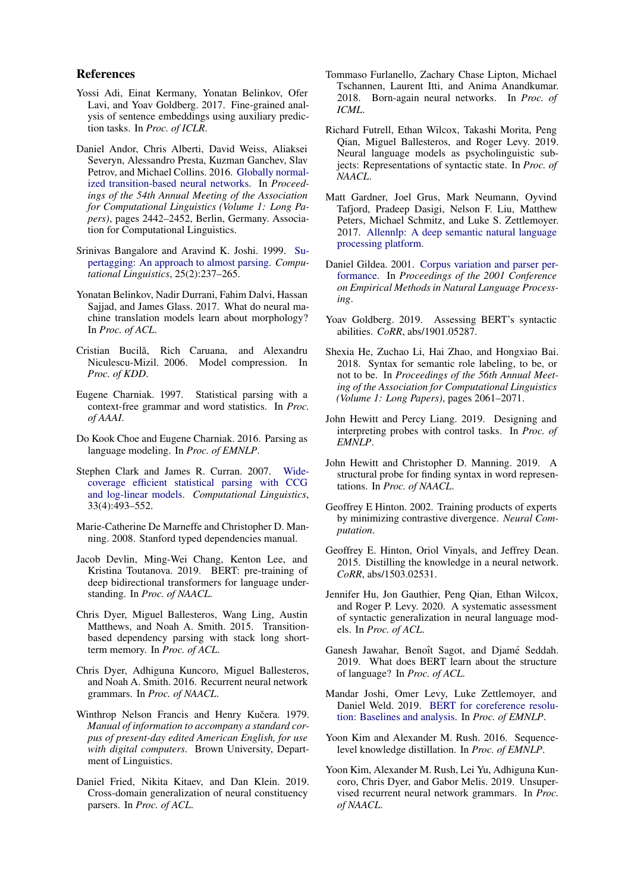#### References

- <span id="page-10-25"></span>Yossi Adi, Einat Kermany, Yonatan Belinkov, Ofer Lavi, and Yoav Goldberg. 2017. Fine-grained analysis of sentence embeddings using auxiliary prediction tasks. In *Proc. of ICLR*.
- <span id="page-10-17"></span>Daniel Andor, Chris Alberti, David Weiss, Aliaksei Severyn, Alessandro Presta, Kuzman Ganchev, Slav Petrov, and Michael Collins. 2016. [Globally normal](https://doi.org/10.18653/v1/P16-1231)[ized transition-based neural networks.](https://doi.org/10.18653/v1/P16-1231) In *Proceedings of the 54th Annual Meeting of the Association for Computational Linguistics (Volume 1: Long Papers)*, pages 2442–2452, Berlin, Germany. Association for Computational Linguistics.
- <span id="page-10-23"></span>Srinivas Bangalore and Aravind K. Joshi. 1999. [Su](https://www.aclweb.org/anthology/J99-2004)[pertagging: An approach to almost parsing.](https://www.aclweb.org/anthology/J99-2004) *Computational Linguistics*, 25(2):237–265.
- <span id="page-10-26"></span>Yonatan Belinkov, Nadir Durrani, Fahim Dalvi, Hassan Sajjad, and James Glass. 2017. What do neural machine translation models learn about morphology? In *Proc. of ACL*.
- <span id="page-10-5"></span>Cristian Bucilă, Rich Caruana, and Alexandru Niculescu-Mizil. 2006. Model compression. In *Proc. of KDD*.
- <span id="page-10-16"></span>Eugene Charniak. 1997. Statistical parsing with a context-free grammar and word statistics. In *Proc. of AAAI*.
- <span id="page-10-9"></span>Do Kook Choe and Eugene Charniak. 2016. Parsing as language modeling. In *Proc. of EMNLP*.
- <span id="page-10-24"></span>Stephen Clark and James R. Curran. 2007. [Wide](https://doi.org/10.1162/coli.2007.33.4.493)[coverage efficient statistical parsing with CCG](https://doi.org/10.1162/coli.2007.33.4.493) [and log-linear models.](https://doi.org/10.1162/coli.2007.33.4.493) *Computational Linguistics*, 33(4):493–552.
- <span id="page-10-19"></span>Marie-Catherine De Marneffe and Christopher D. Manning. 2008. Stanford typed dependencies manual.
- <span id="page-10-0"></span>Jacob Devlin, Ming-Wei Chang, Kenton Lee, and Kristina Toutanova. 2019. BERT: pre-training of deep bidirectional transformers for language understanding. In *Proc. of NAACL*.
- <span id="page-10-8"></span>Chris Dyer, Miguel Ballesteros, Wang Ling, Austin Matthews, and Noah A. Smith. 2015. Transitionbased dependency parsing with stack long shortterm memory. In *Proc. of ACL*.
- <span id="page-10-7"></span>Chris Dyer, Adhiguna Kuncoro, Miguel Ballesteros, and Noah A. Smith. 2016. Recurrent neural network grammars. In *Proc. of NAACL*.
- <span id="page-10-18"></span>Winthrop Nelson Francis and Henry Kučera. 1979. *Manual of information to accompany a standard corpus of present-day edited American English, for use with digital computers*. Brown University, Department of Linguistics.
- <span id="page-10-13"></span>Daniel Fried, Nikita Kitaev, and Dan Klein. 2019. Cross-domain generalization of neural constituency parsers. In *Proc. of ACL*.
- <span id="page-10-15"></span>Tommaso Furlanello, Zachary Chase Lipton, Michael Tschannen, Laurent Itti, and Anima Anandkumar. 2018. Born-again neural networks. In *Proc. of ICML*.
- <span id="page-10-11"></span>Richard Futrell, Ethan Wilcox, Takashi Morita, Peng Qian, Miguel Ballesteros, and Roger Levy. 2019. Neural language models as psycholinguistic subjects: Representations of syntactic state. In *Proc. of NAACL*.
- <span id="page-10-20"></span>Matt Gardner, Joel Grus, Mark Neumann, Oyvind Tafjord, Pradeep Dasigi, Nelson F. Liu, Matthew Peters, Michael Schmitz, and Luke S. Zettlemoyer. 2017. [Allennlp: A deep semantic natural language](http://arxiv.org/abs/arXiv:1803.07640) [processing platform.](http://arxiv.org/abs/arXiv:1803.07640)
- <span id="page-10-21"></span>Daniel Gildea. 2001. [Corpus variation and parser per](https://www.aclweb.org/anthology/W01-0521)[formance.](https://www.aclweb.org/anthology/W01-0521) In *Proceedings of the 2001 Conference on Empirical Methods in Natural Language Processing*.
- <span id="page-10-1"></span>Yoav Goldberg. 2019. Assessing BERT's syntactic abilities. *CoRR*, abs/1901.05287.
- <span id="page-10-28"></span>Shexia He, Zuchao Li, Hai Zhao, and Hongxiao Bai. 2018. Syntax for semantic role labeling, to be, or not to be. In *Proceedings of the 56th Annual Meeting of the Association for Computational Linguistics (Volume 1: Long Papers)*, pages 2061–2071.
- <span id="page-10-27"></span>John Hewitt and Percy Liang. 2019. Designing and interpreting probes with control tasks. In *Proc. of EMNLP*.
- <span id="page-10-2"></span>John Hewitt and Christopher D. Manning. 2019. A structural probe for finding syntax in word representations. In *Proc. of NAACL*.
- <span id="page-10-12"></span>Geoffrey E Hinton. 2002. Training products of experts by minimizing contrastive divergence. *Neural Computation*.
- <span id="page-10-6"></span>Geoffrey E. Hinton, Oriol Vinyals, and Jeffrey Dean. 2015. Distilling the knowledge in a neural network. *CoRR*, abs/1503.02531.
- <span id="page-10-4"></span>Jennifer Hu, Jon Gauthier, Peng Qian, Ethan Wilcox, and Roger P. Levy. 2020. A systematic assessment of syntactic generalization in neural language models. In *Proc. of ACL*.
- <span id="page-10-3"></span>Ganesh Jawahar, Benoît Sagot, and Djamé Seddah. 2019. What does BERT learn about the structure of language? In *Proc. of ACL*.
- <span id="page-10-22"></span>Mandar Joshi, Omer Levy, Luke Zettlemoyer, and Daniel Weld. 2019. [BERT for coreference resolu](https://www.aclweb.org/anthology/D19-1588)[tion: Baselines and analysis.](https://www.aclweb.org/anthology/D19-1588) In *Proc. of EMNLP*.
- <span id="page-10-14"></span>Yoon Kim and Alexander M. Rush. 2016. Sequencelevel knowledge distillation. In *Proc. of EMNLP*.
- <span id="page-10-10"></span>Yoon Kim, Alexander M. Rush, Lei Yu, Adhiguna Kuncoro, Chris Dyer, and Gabor Melis. 2019. Unsupervised recurrent neural network grammars. In *Proc. of NAACL*.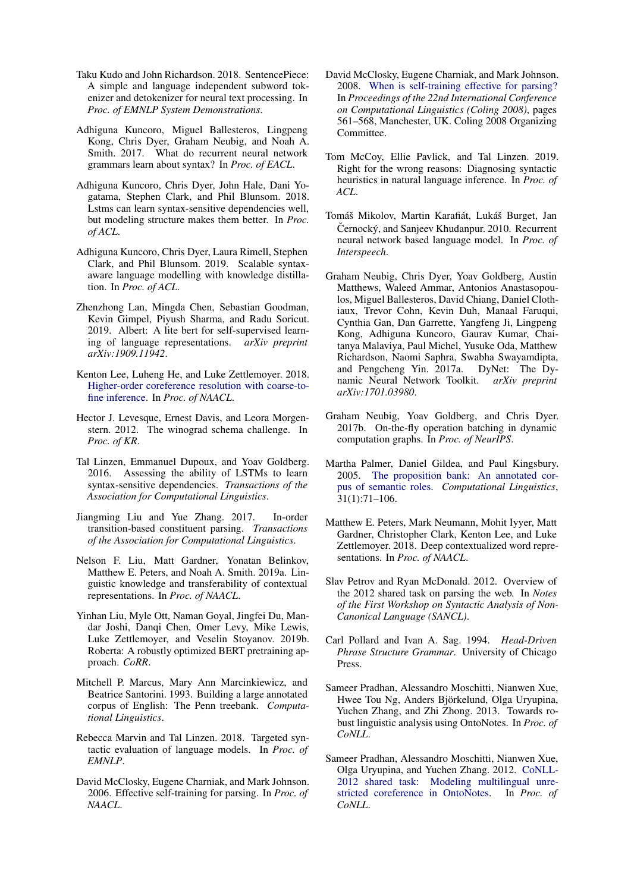- <span id="page-11-23"></span>Taku Kudo and John Richardson. 2018. SentencePiece: A simple and language independent subword tokenizer and detokenizer for neural text processing. In *Proc. of EMNLP System Demonstrations*.
- <span id="page-11-18"></span>Adhiguna Kuncoro, Miguel Ballesteros, Lingpeng Kong, Chris Dyer, Graham Neubig, and Noah A. Smith. 2017. What do recurrent neural network grammars learn about syntax? In *Proc. of EACL*.
- <span id="page-11-3"></span>Adhiguna Kuncoro, Chris Dyer, John Hale, Dani Yogatama, Stephen Clark, and Phil Blunsom. 2018. Lstms can learn syntax-sensitive dependencies well, but modeling structure makes them better. In *Proc. of ACL*.
- <span id="page-11-2"></span>Adhiguna Kuncoro, Chris Dyer, Laura Rimell, Stephen Clark, and Phil Blunsom. 2019. Scalable syntaxaware language modelling with knowledge distillation. In *Proc. of ACL*.
- <span id="page-11-22"></span>Zhenzhong Lan, Mingda Chen, Sebastian Goodman, Kevin Gimpel, Piyush Sharma, and Radu Soricut. 2019. Albert: A lite bert for self-supervised learning of language representations. *arXiv preprint arXiv:1909.11942*.
- <span id="page-11-13"></span>Kenton Lee, Luheng He, and Luke Zettlemoyer. 2018. [Higher-order coreference resolution with coarse-to](https://www.aclweb.org/anthology/N18-2108)[fine inference.](https://www.aclweb.org/anthology/N18-2108) In *Proc. of NAACL*.
- <span id="page-11-14"></span>Hector J. Levesque, Ernest Davis, and Leora Morgenstern. 2012. The winograd schema challenge. In *Proc. of KR*.
- <span id="page-11-4"></span>Tal Linzen, Emmanuel Dupoux, and Yoav Goldberg. 2016. Assessing the ability of LSTMs to learn syntax-sensitive dependencies. *Transactions of the Association for Computational Linguistics*.
- <span id="page-11-6"></span>Jiangming Liu and Yue Zhang. 2017. In-order transition-based constituent parsing. *Transactions of the Association for Computational Linguistics*.
- <span id="page-11-1"></span>Nelson F. Liu, Matt Gardner, Yonatan Belinkov, Matthew E. Peters, and Noah A. Smith. 2019a. Linguistic knowledge and transferability of contextual representations. In *Proc. of NAACL*.
- <span id="page-11-17"></span>Yinhan Liu, Myle Ott, Naman Goyal, Jingfei Du, Mandar Joshi, Danqi Chen, Omer Levy, Mike Lewis, Luke Zettlemoyer, and Veselin Stoyanov. 2019b. Roberta: A robustly optimized BERT pretraining approach. *CoRR*.
- <span id="page-11-5"></span>Mitchell P. Marcus, Mary Ann Marcinkiewicz, and Beatrice Santorini. 1993. Building a large annotated corpus of English: The Penn treebank. *Computational Linguistics*.
- <span id="page-11-21"></span>Rebecca Marvin and Tal Linzen. 2018. Targeted syntactic evaluation of language models. In *Proc. of EMNLP*.
- <span id="page-11-7"></span>David McClosky, Eugene Charniak, and Mark Johnson. 2006. Effective self-training for parsing. In *Proc. of NAACL*.
- <span id="page-11-11"></span>David McClosky, Eugene Charniak, and Mark Johnson. 2008. [When is self-training effective for parsing?](https://www.aclweb.org/anthology/C08-1071) In *Proceedings of the 22nd International Conference on Computational Linguistics (Coling 2008)*, pages 561–568, Manchester, UK. Coling 2008 Organizing Committee.
- <span id="page-11-19"></span>Tom McCoy, Ellie Pavlick, and Tal Linzen. 2019. Right for the wrong reasons: Diagnosing syntactic heuristics in natural language inference. In *Proc. of ACL*.
- <span id="page-11-24"></span>Tomáš Mikolov, Martin Karafiát, Lukáš Burget, Jan Černocký, and Sanjeev Khudanpur. 2010. Recurrent neural network based language model. In *Proc. of Interspeech*.
- <span id="page-11-15"></span>Graham Neubig, Chris Dyer, Yoav Goldberg, Austin Matthews, Waleed Ammar, Antonios Anastasopoulos, Miguel Ballesteros, David Chiang, Daniel Clothiaux, Trevor Cohn, Kevin Duh, Manaal Faruqui, Cynthia Gan, Dan Garrette, Yangfeng Ji, Lingpeng Kong, Adhiguna Kuncoro, Gaurav Kumar, Chaitanya Malaviya, Paul Michel, Yusuke Oda, Matthew Richardson, Naomi Saphra, Swabha Swayamdipta, and Pengcheng Yin. 2017a. DyNet: The Dynamic Neural Network Toolkit. *arXiv preprint arXiv:1701.03980*.
- <span id="page-11-16"></span>Graham Neubig, Yoav Goldberg, and Chris Dyer. 2017b. On-the-fly operation batching in dynamic computation graphs. In *Proc. of NeurIPS*.
- <span id="page-11-20"></span>Martha Palmer, Daniel Gildea, and Paul Kingsbury. 2005. [The proposition bank: An annotated cor](https://doi.org/10.1162/0891201053630264)[pus of semantic roles.](https://doi.org/10.1162/0891201053630264) *Computational Linguistics*, 31(1):71–106.
- <span id="page-11-0"></span>Matthew E. Peters, Mark Neumann, Mohit Iyyer, Matt Gardner, Christopher Clark, Kenton Lee, and Luke Zettlemoyer. 2018. Deep contextualized word representations. In *Proc. of NAACL*.
- <span id="page-11-8"></span>Slav Petrov and Ryan McDonald. 2012. Overview of the 2012 shared task on parsing the web. In *Notes of the First Workshop on Syntactic Analysis of Non-Canonical Language (SANCL)*.
- <span id="page-11-9"></span>Carl Pollard and Ivan A. Sag. 1994. *Head-Driven Phrase Structure Grammar*. University of Chicago Press.
- <span id="page-11-10"></span>Sameer Pradhan, Alessandro Moschitti, Nianwen Xue, Hwee Tou Ng, Anders Björkelund, Olga Uryupina, Yuchen Zhang, and Zhi Zhong. 2013. Towards robust linguistic analysis using OntoNotes. In *Proc. of CoNLL*.
- <span id="page-11-12"></span>Sameer Pradhan, Alessandro Moschitti, Nianwen Xue, Olga Uryupina, and Yuchen Zhang. 2012. [CoNLL-](https://www.aclweb.org/anthology/W12-4501)[2012 shared task: Modeling multilingual unre](https://www.aclweb.org/anthology/W12-4501)[stricted coreference in OntoNotes.](https://www.aclweb.org/anthology/W12-4501) In *Proc. of CoNLL*.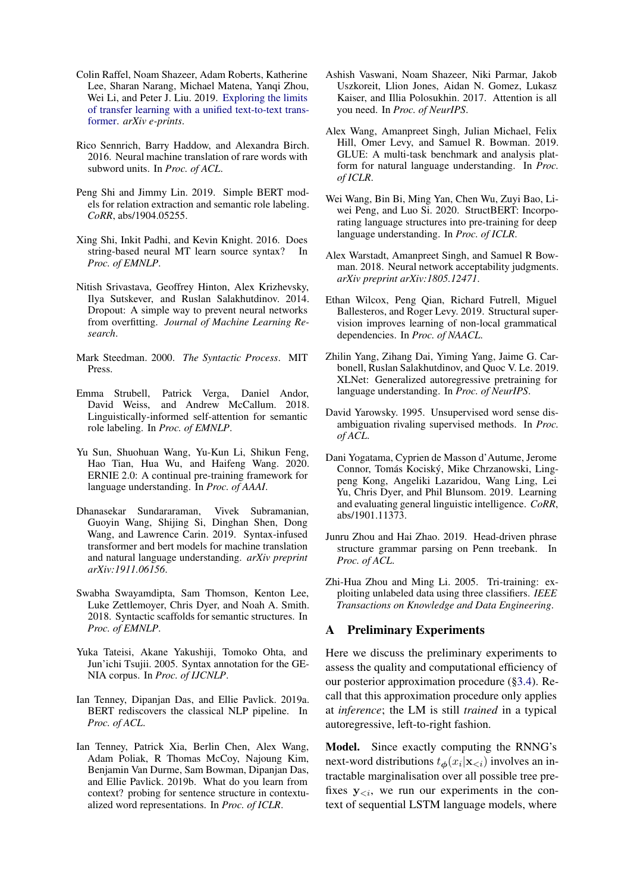- <span id="page-12-19"></span>Colin Raffel, Noam Shazeer, Adam Roberts, Katherine Lee, Sharan Narang, Michael Matena, Yanqi Zhou, Wei Li, and Peter J. Liu. 2019. [Exploring the limits](http://arxiv.org/abs/1910.10683) [of transfer learning with a unified text-to-text trans](http://arxiv.org/abs/1910.10683)[former.](http://arxiv.org/abs/1910.10683) *arXiv e-prints*.
- <span id="page-12-6"></span>Rico Sennrich, Barry Haddow, and Alexandra Birch. 2016. Neural machine translation of rare words with subword units. In *Proc. of ACL*.
- <span id="page-12-13"></span>Peng Shi and Jimmy Lin. 2019. Simple BERT models for relation extraction and semantic role labeling. *CoRR*, abs/1904.05255.
- <span id="page-12-15"></span>Xing Shi, Inkit Padhi, and Kevin Knight. 2016. Does string-based neural MT learn source syntax? In *Proc. of EMNLP*.
- <span id="page-12-23"></span>Nitish Srivastava, Geoffrey Hinton, Alex Krizhevsky, Ilya Sutskever, and Ruslan Salakhutdinov. 2014. Dropout: A simple way to prevent neural networks from overfitting. *Journal of Machine Learning Research*.
- <span id="page-12-14"></span>Mark Steedman. 2000. *The Syntactic Process*. MIT **Press**.
- <span id="page-12-22"></span>Emma Strubell, Patrick Verga, Daniel Andor, David Weiss, and Andrew McCallum. 2018. Linguistically-informed self-attention for semantic role labeling. In *Proc. of EMNLP*.
- <span id="page-12-20"></span>Yu Sun, Shuohuan Wang, Yu-Kun Li, Shikun Feng, Hao Tian, Hua Wu, and Haifeng Wang. 2020. ERNIE 2.0: A continual pre-training framework for language understanding. In *Proc. of AAAI*.
- <span id="page-12-18"></span>Dhanasekar Sundararaman, Vivek Subramanian, Guoyin Wang, Shijing Si, Dinghan Shen, Dong Wang, and Lawrence Carin. 2019. Syntax-infused transformer and bert models for machine translation and natural language understanding. *arXiv preprint arXiv:1911.06156*.
- <span id="page-12-21"></span>Swabha Swayamdipta, Sam Thomson, Kenton Lee, Luke Zettlemoyer, Chris Dyer, and Noah A. Smith. 2018. Syntactic scaffolds for semantic structures. In *Proc. of EMNLP*.
- <span id="page-12-11"></span>Yuka Tateisi, Akane Yakushiji, Tomoko Ohta, and Jun'ichi Tsujii. 2005. Syntax annotation for the GE-NIA corpus. In *Proc. of IJCNLP*.
- <span id="page-12-1"></span>Ian Tenney, Dipanjan Das, and Ellie Pavlick. 2019a. BERT rediscovers the classical NLP pipeline. In *Proc. of ACL*.
- <span id="page-12-2"></span>Ian Tenney, Patrick Xia, Berlin Chen, Alex Wang, Adam Poliak, R Thomas McCoy, Najoung Kim, Benjamin Van Durme, Sam Bowman, Dipanjan Das, and Ellie Pavlick. 2019b. What do you learn from context? probing for sentence structure in contextualized word representations. In *Proc. of ICLR*.
- <span id="page-12-3"></span>Ashish Vaswani, Noam Shazeer, Niki Parmar, Jakob Uszkoreit, Llion Jones, Aidan N. Gomez, Lukasz Kaiser, and Illia Polosukhin. 2017. Attention is all you need. In *Proc. of NeurIPS*.
- <span id="page-12-4"></span>Alex Wang, Amanpreet Singh, Julian Michael, Felix Hill, Omer Levy, and Samuel R. Bowman. 2019. GLUE: A multi-task benchmark and analysis platform for natural language understanding. In *Proc. of ICLR*.
- <span id="page-12-17"></span>Wei Wang, Bin Bi, Ming Yan, Chen Wu, Zuyi Bao, Liwei Peng, and Luo Si. 2020. StructBERT: Incorporating language structures into pre-training for deep language understanding. In *Proc. of ICLR*.
- <span id="page-12-5"></span>Alex Warstadt, Amanpreet Singh, and Samuel R Bowman. 2018. Neural network acceptability judgments. *arXiv preprint arXiv:1805.12471*.
- <span id="page-12-7"></span>Ethan Wilcox, Peng Qian, Richard Futrell, Miguel Ballesteros, and Roger Levy. 2019. Structural supervision improves learning of non-local grammatical dependencies. In *Proc. of NAACL*.
- <span id="page-12-0"></span>Zhilin Yang, Zihang Dai, Yiming Yang, Jaime G. Carbonell, Ruslan Salakhutdinov, and Quoc V. Le. 2019. XLNet: Generalized autoregressive pretraining for language understanding. In *Proc. of NeurIPS*.
- <span id="page-12-9"></span>David Yarowsky. 1995. Unsupervised word sense disambiguation rivaling supervised methods. In *Proc. of ACL*.
- <span id="page-12-16"></span>Dani Yogatama, Cyprien de Masson d'Autume, Jerome Connor, Tomás Kociský, Mike Chrzanowski, Lingpeng Kong, Angeliki Lazaridou, Wang Ling, Lei Yu, Chris Dyer, and Phil Blunsom. 2019. Learning and evaluating general linguistic intelligence. *CoRR*, abs/1901.11373.
- <span id="page-12-12"></span>Junru Zhou and Hai Zhao. 2019. Head-driven phrase structure grammar parsing on Penn treebank. In *Proc. of ACL*.
- <span id="page-12-10"></span>Zhi-Hua Zhou and Ming Li. 2005. Tri-training: exploiting unlabeled data using three classifiers. *IEEE Transactions on Knowledge and Data Engineering*.

### <span id="page-12-8"></span>A Preliminary Experiments

Here we discuss the preliminary experiments to assess the quality and computational efficiency of our posterior approximation procedure ([§3.4\)](#page-3-7). Recall that this approximation procedure only applies at *inference*; the LM is still *trained* in a typical autoregressive, left-to-right fashion.

Model. Since exactly computing the RNNG's next-word distributions  $t_{\phi}(x_i|\mathbf{x}_{\leq i})$  involves an intractable marginalisation over all possible tree prefixes  $y_{\leq i}$ , we run our experiments in the context of sequential LSTM language models, where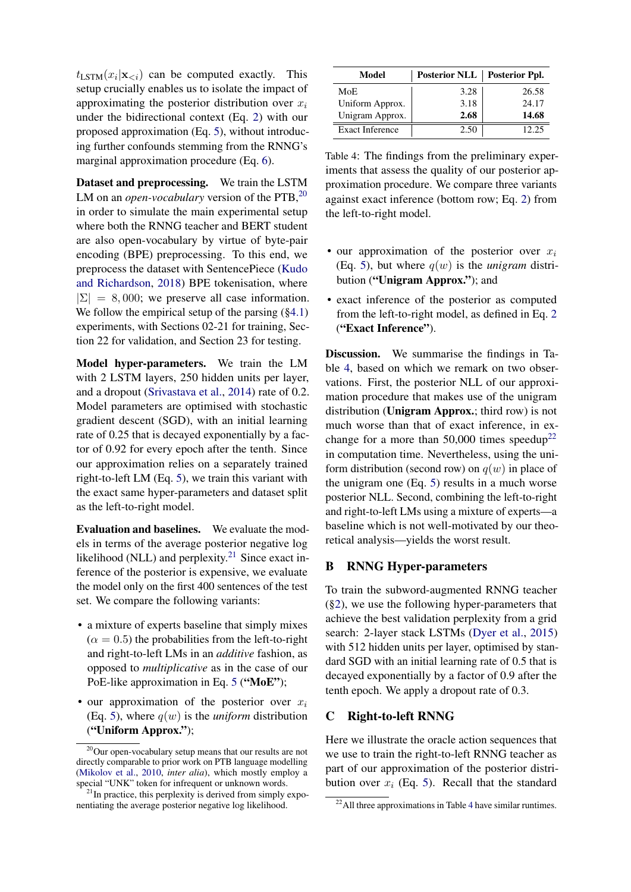$t_{\text{LSTM}}(x_i|\mathbf{x}_{< i})$  can be computed exactly. This setup crucially enables us to isolate the impact of approximating the posterior distribution over  $x_i$ under the bidirectional context (Eq. [2\)](#page-2-4) with our proposed approximation (Eq. [5\)](#page-3-4), without introducing further confounds stemming from the RNNG's marginal approximation procedure (Eq. [6\)](#page-3-6).

Dataset and preprocessing. We train the LSTM LM on an *open-vocabulary* version of the PTB,<sup>[20](#page-13-2)</sup> in order to simulate the main experimental setup where both the RNNG teacher and BERT student are also open-vocabulary by virtue of byte-pair encoding (BPE) preprocessing. To this end, we preprocess the dataset with SentencePiece [\(Kudo](#page-11-23) [and Richardson,](#page-11-23) [2018\)](#page-11-23) BPE tokenisation, where  $|\Sigma| = 8,000$ ; we preserve all case information. We follow the empirical setup of the parsing  $(\S 4.1)$ experiments, with Sections 02-21 for training, Section 22 for validation, and Section 23 for testing.

Model hyper-parameters. We train the LM with 2 LSTM layers, 250 hidden units per layer, and a dropout [\(Srivastava et al.,](#page-12-23) [2014\)](#page-12-23) rate of 0.2. Model parameters are optimised with stochastic gradient descent (SGD), with an initial learning rate of 0.25 that is decayed exponentially by a factor of 0.92 for every epoch after the tenth. Since our approximation relies on a separately trained right-to-left LM (Eq. [5\)](#page-3-4), we train this variant with the exact same hyper-parameters and dataset split as the left-to-right model.

Evaluation and baselines. We evaluate the models in terms of the average posterior negative log likelihood (NLL) and perplexity.<sup>[21](#page-13-3)</sup> Since exact inference of the posterior is expensive, we evaluate the model only on the first 400 sentences of the test set. We compare the following variants:

- a mixture of experts baseline that simply mixes  $(\alpha = 0.5)$  the probabilities from the left-to-right and right-to-left LMs in an *additive* fashion, as opposed to *multiplicative* as in the case of our PoE-like approximation in Eq. [5](#page-3-4) ("MoE");
- our approximation of the posterior over  $x_i$ (Eq. [5\)](#page-3-4), where  $q(w)$  is the *uniform* distribution ("Uniform Approx.");

<span id="page-13-4"></span>

| Model                  | Posterior NLL   Posterior Ppl. |       |
|------------------------|--------------------------------|-------|
| MoE                    | 3.28                           | 26.58 |
| Uniform Approx.        | 3.18                           | 24.17 |
| Unigram Approx.        | 2.68                           | 14.68 |
| <b>Exact Inference</b> | 2.50                           | 12.25 |

Table 4: The findings from the preliminary experiments that assess the quality of our posterior approximation procedure. We compare three variants against exact inference (bottom row; Eq. [2\)](#page-2-4) from the left-to-right model.

- our approximation of the posterior over  $x_i$ (Eq. [5\)](#page-3-4), but where  $q(w)$  is the *unigram* distribution ("Unigram Approx."); and
- exact inference of the posterior as computed from the left-to-right model, as defined in Eq. [2](#page-2-4) ("Exact Inference").

Discussion. We summarise the findings in Table [4,](#page-13-4) based on which we remark on two observations. First, the posterior NLL of our approximation procedure that makes use of the unigram distribution (Unigram Approx.; third row) is not much worse than that of exact inference, in ex-change for a more than 50,000 times speedup<sup>[22](#page-13-5)</sup> in computation time. Nevertheless, using the uniform distribution (second row) on  $q(w)$  in place of the unigram one (Eq. [5\)](#page-3-4) results in a much worse posterior NLL. Second, combining the left-to-right and right-to-left LMs using a mixture of experts—a baseline which is not well-motivated by our theoretical analysis—yields the worst result.

## <span id="page-13-1"></span>B RNNG Hyper-parameters

To train the subword-augmented RNNG teacher ([§2\)](#page-1-4), we use the following hyper-parameters that achieve the best validation perplexity from a grid search: 2-layer stack LSTMs [\(Dyer et al.,](#page-10-8) [2015\)](#page-10-8) with 512 hidden units per layer, optimised by standard SGD with an initial learning rate of 0.5 that is decayed exponentially by a factor of 0.9 after the tenth epoch. We apply a dropout rate of 0.3.

### <span id="page-13-0"></span>C Right-to-left RNNG

Here we illustrate the oracle action sequences that we use to train the right-to-left RNNG teacher as part of our approximation of the posterior distribution over  $x_i$  (Eq. [5\)](#page-3-4). Recall that the standard

<span id="page-13-2"></span><sup>20</sup>Our open-vocabulary setup means that our results are not directly comparable to prior work on PTB language modelling [\(Mikolov et al.,](#page-11-24) [2010,](#page-11-24) *inter alia*), which mostly employ a special "UNK" token for infrequent or unknown words.

<span id="page-13-3"></span> $21$ In practice, this perplexity is derived from simply exponentiating the average posterior negative log likelihood.

<span id="page-13-5"></span> $^{22}$ All three approximations in Table [4](#page-13-4) have similar runtimes.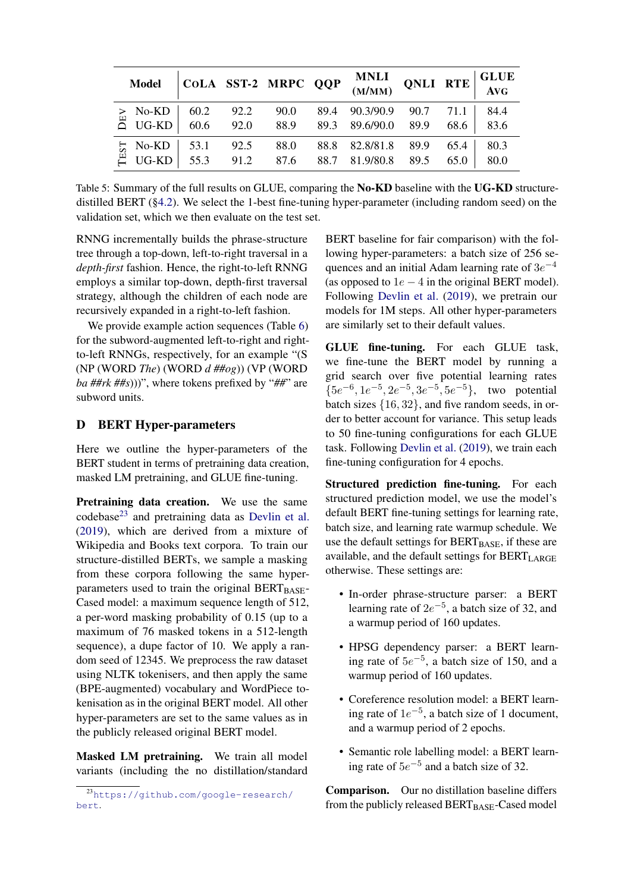<span id="page-14-2"></span>

| <b>Model</b>                                                                                                               |  |      | $\begin{array}{ l } \hline \textbf{COLA} & \textbf{SST-2} & \textbf{MRPC} & \textbf{QQP} & \textbf{MNLI} \\ \hline (\textbf{M/MM}) & \textbf{QNLI} & \textbf{RTE} \end{array}$                                         |      |      | GLUE<br>Avg  |
|----------------------------------------------------------------------------------------------------------------------------|--|------|------------------------------------------------------------------------------------------------------------------------------------------------------------------------------------------------------------------------|------|------|--------------|
|                                                                                                                            |  |      | 89.4 90.3/90.9 90.7 71.1<br>$\begin{array}{c cccccc}\n\ge &\text{No-KD} & 60.2 & 92.2 & 90.0 & 89.4 & 90.3/90.9 & 90.7 \\ \hline\n\text{O} & \text{UG-KD} & 60.6 & 92.0 & 88.9 & 89.3 & 89.6/90.0 & 89.9\n\end{array}$ |      | 68.6 | 84.4<br>83.6 |
| $\begin{array}{c cc}\n\text{L} & \text{No-KD} & 53.1 & 92.5 \\ \hline\n\text{L} & \text{UG-KD} & 55.3 & 91.2\n\end{array}$ |  | 88.0 | 88.8 82.8/81.8 89.9 65.4<br>$\vert$ 55.3 91.2 87.6 88.7 81.9/80.8                                                                                                                                                      | 89.5 | 65.0 | 80.3<br>80.0 |

Table 5: Summary of the full results on GLUE, comparing the No-KD baseline with the UG-KD structuredistilled BERT ([§4.2\)](#page-5-7). We select the 1-best fine-tuning hyper-parameter (including random seed) on the validation set, which we then evaluate on the test set.

RNNG incrementally builds the phrase-structure tree through a top-down, left-to-right traversal in a *depth-first* fashion. Hence, the right-to-left RNNG employs a similar top-down, depth-first traversal strategy, although the children of each node are recursively expanded in a right-to-left fashion.

We provide example action sequences (Table [6\)](#page-16-0) for the subword-augmented left-to-right and rightto-left RNNGs, respectively, for an example "(S (NP (WORD *The*) (WORD *d ##og*)) (VP (WORD *ba ##rk ##s*)))", where tokens prefixed by "*##*" are subword units.

### <span id="page-14-0"></span>D BERT Hyper-parameters

Here we outline the hyper-parameters of the BERT student in terms of pretraining data creation, masked LM pretraining, and GLUE fine-tuning.

Pretraining data creation. We use the same codebase[23](#page-14-1) and pretraining data as [Devlin et al.](#page-10-0) [\(2019\)](#page-10-0), which are derived from a mixture of Wikipedia and Books text corpora. To train our structure-distilled BERTs, we sample a masking from these corpora following the same hyperparameters used to train the original  $BERT_{BASE}$ -Cased model: a maximum sequence length of 512, a per-word masking probability of 0.15 (up to a maximum of 76 masked tokens in a 512-length sequence), a dupe factor of 10. We apply a random seed of 12345. We preprocess the raw dataset using NLTK tokenisers, and then apply the same (BPE-augmented) vocabulary and WordPiece tokenisation as in the original BERT model. All other hyper-parameters are set to the same values as in the publicly released original BERT model.

Masked LM pretraining. We train all model variants (including the no distillation/standard

BERT baseline for fair comparison) with the following hyper-parameters: a batch size of 256 sequences and an initial Adam learning rate of  $3e^{-4}$ (as opposed to  $1e - 4$  in the original BERT model). Following [Devlin et al.](#page-10-0) [\(2019\)](#page-10-0), we pretrain our models for 1M steps. All other hyper-parameters are similarly set to their default values.

GLUE fine-tuning. For each GLUE task, we fine-tune the BERT model by running a grid search over five potential learning rates  ${5e^{-6}, 1e^{-5}, 2e^{-5}, 3e^{-5}, 5e^{-5}},$  two potential batch sizes {16, 32}, and five random seeds, in order to better account for variance. This setup leads to 50 fine-tuning configurations for each GLUE task. Following [Devlin et al.](#page-10-0) [\(2019\)](#page-10-0), we train each fine-tuning configuration for 4 epochs.

Structured prediction fine-tuning. For each structured prediction model, we use the model's default BERT fine-tuning settings for learning rate, batch size, and learning rate warmup schedule. We use the default settings for  $BERT_{BASE}$ , if these are available, and the default settings for BERTLARGE otherwise. These settings are:

- In-order phrase-structure parser: a BERT learning rate of  $2e^{-5}$ , a batch size of 32, and a warmup period of 160 updates.
- HPSG dependency parser: a BERT learning rate of  $5e^{-5}$ , a batch size of 150, and a warmup period of 160 updates.
- Coreference resolution model: a BERT learning rate of  $1e^{-5}$ , a batch size of 1 document, and a warmup period of 2 epochs.
- Semantic role labelling model: a BERT learning rate of  $5e^{-5}$  and a batch size of 32.

Comparison. Our no distillation baseline differs from the publicly released  $BERT_{BASE}$ -Cased model

<span id="page-14-1"></span><sup>23</sup>[https://github.com/google-research/](https://github.com/google-research/bert) [bert](https://github.com/google-research/bert).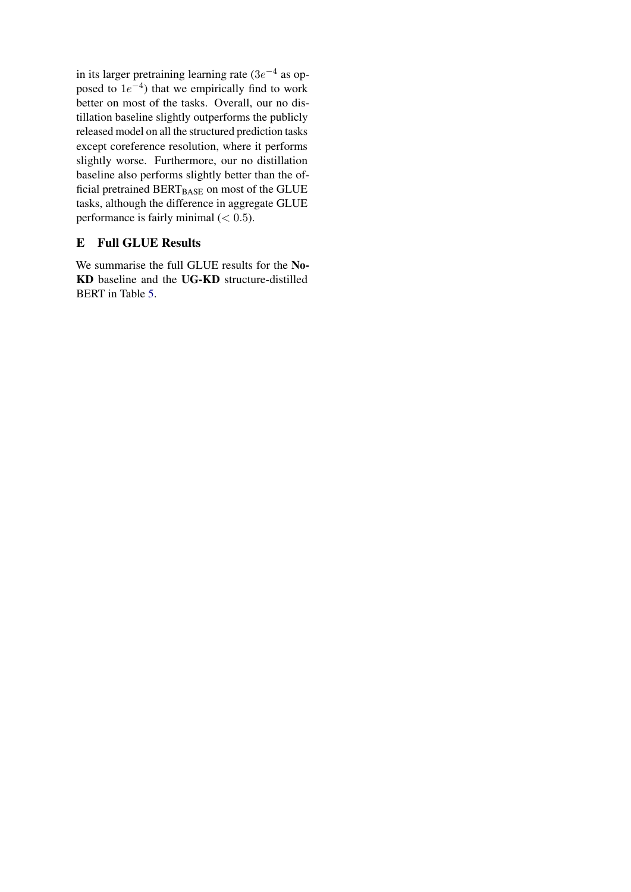in its larger pretraining learning rate  $(3e^{-4})$  as opposed to  $1e^{-4}$ ) that we empirically find to work better on most of the tasks. Overall, our no distillation baseline slightly outperforms the publicly released model on all the structured prediction tasks except coreference resolution, where it performs slightly worse. Furthermore, our no distillation baseline also performs slightly better than the official pretrained BERTBASE on most of the GLUE tasks, although the difference in aggregate GLUE performance is fairly minimal  $(< 0.5)$ .

# <span id="page-15-0"></span>E Full GLUE Results

We summarise the full GLUE results for the No-KD baseline and the UG-KD structure-distilled BERT in Table [5.](#page-14-2)